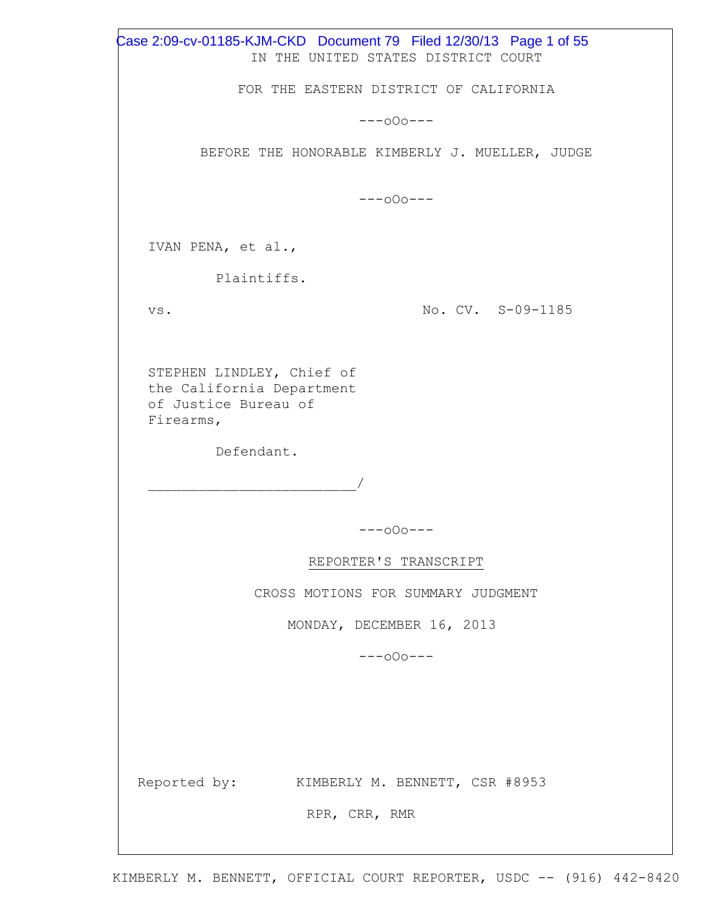IN THE UNITED STATES DISTRICT COURT FOR THE EASTERN DISTRICT OF CALIFORNIA ---oOo--- BEFORE THE HONORABLE KIMBERLY J. MUELLER, JUDGE ---oOo--- IVAN PENA, et al., Plaintiffs. vs. STEPHEN LINDLEY, Chief of the California Department of Justice Bureau of Firearms, Defendant.  $\overline{\phantom{a}}$ No. CV. S-09-1185 ---oOo--- REPORTER'S TRANSCRIPT CROSS MOTIONS FOR SUMMARY JUDGMENT MONDAY, DECEMBER 16, 2013 ---oOo--- Reported by: KIMBERLY M. BENNETT, CSR #8953 RPR, CRR, RMR Case 2:09-cv-01185-KJM-CKD Document 79 Filed 12/30/13 Page 1 of 55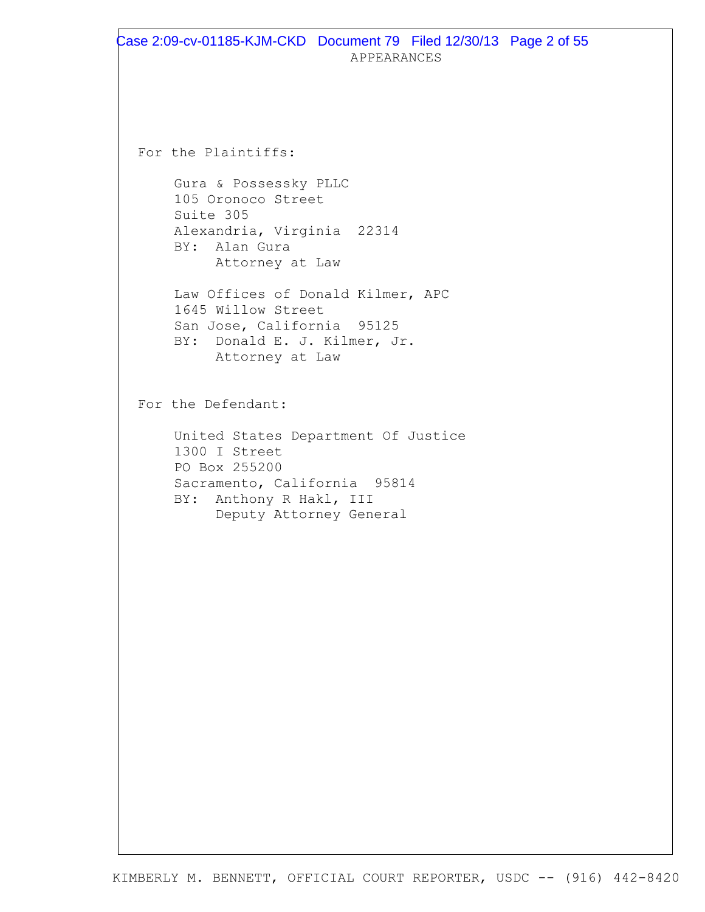For the Plaintiffs:

Gura & Possessky PLLC 105 Oronoco Street Suite 305 Alexandria, Virginia 22314 BY: Alan Gura Attorney at Law

Law Offices of Donald Kilmer, APC 1645 Willow Street San Jose, California 95125 BY: Donald E. J. Kilmer, Jr. Attorney at Law

For the Defendant:

United States Department Of Justice 1300 I Street PO Box 255200 Sacramento, California 95814 BY: Anthony R Hakl, III Deputy Attorney General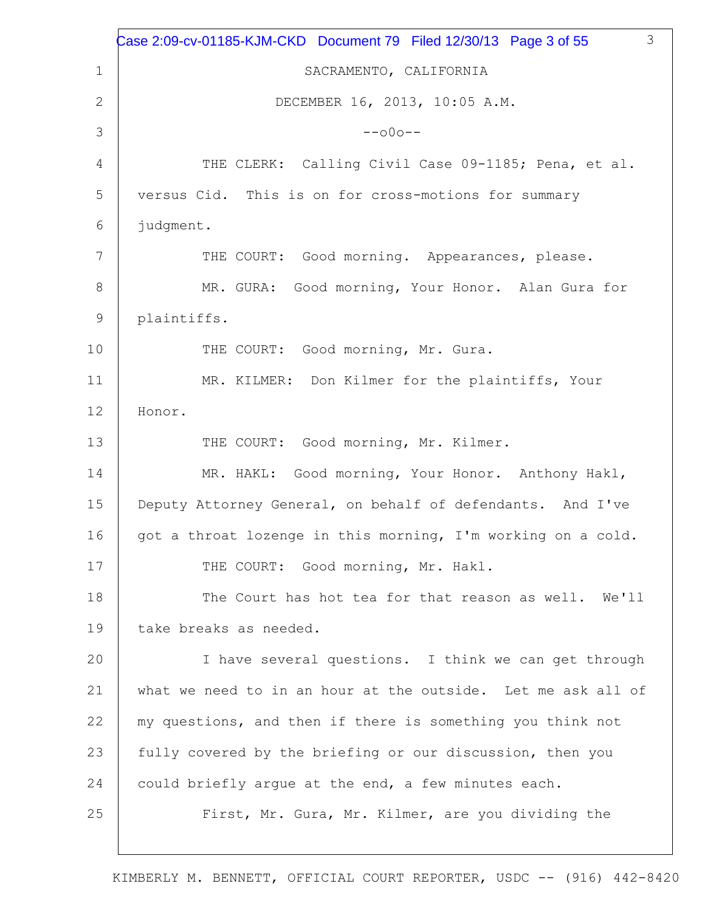|             | 3<br>Case 2:09-cv-01185-KJM-CKD Document 79 Filed 12/30/13 Page 3 of 55 |
|-------------|-------------------------------------------------------------------------|
| $\mathbf 1$ | SACRAMENTO, CALIFORNIA                                                  |
| 2           | DECEMBER 16, 2013, 10:05 A.M.                                           |
| 3           | $--000--$                                                               |
| 4           | THE CLERK: Calling Civil Case 09-1185; Pena, et al.                     |
| 5           | versus Cid. This is on for cross-motions for summary                    |
| 6           | judgment.                                                               |
| 7           | THE COURT: Good morning. Appearances, please.                           |
| 8           | MR. GURA: Good morning, Your Honor. Alan Gura for                       |
| 9           | plaintiffs.                                                             |
| 10          | THE COURT: Good morning, Mr. Gura.                                      |
| 11          | MR. KILMER: Don Kilmer for the plaintiffs, Your                         |
| 12          | Honor.                                                                  |
| 13          | THE COURT: Good morning, Mr. Kilmer.                                    |
| 14          | MR. HAKL: Good morning, Your Honor. Anthony Hakl,                       |
| 15          | Deputy Attorney General, on behalf of defendants. And I've              |
| 16          | got a throat lozenge in this morning, I'm working on a cold.            |
| 17          | THE COURT: Good morning, Mr. Hakl.                                      |
| 18          | The Court has hot tea for that reason as well. We'll                    |
| 19          | take breaks as needed.                                                  |
| 20          | I have several questions. I think we can get through                    |
| 21          | what we need to in an hour at the outside. Let me ask all of            |
| 22          | my questions, and then if there is something you think not              |
| 23          | fully covered by the briefing or our discussion, then you               |
| 24          | could briefly argue at the end, a few minutes each.                     |
| 25          | First, Mr. Gura, Mr. Kilmer, are you dividing the                       |
|             |                                                                         |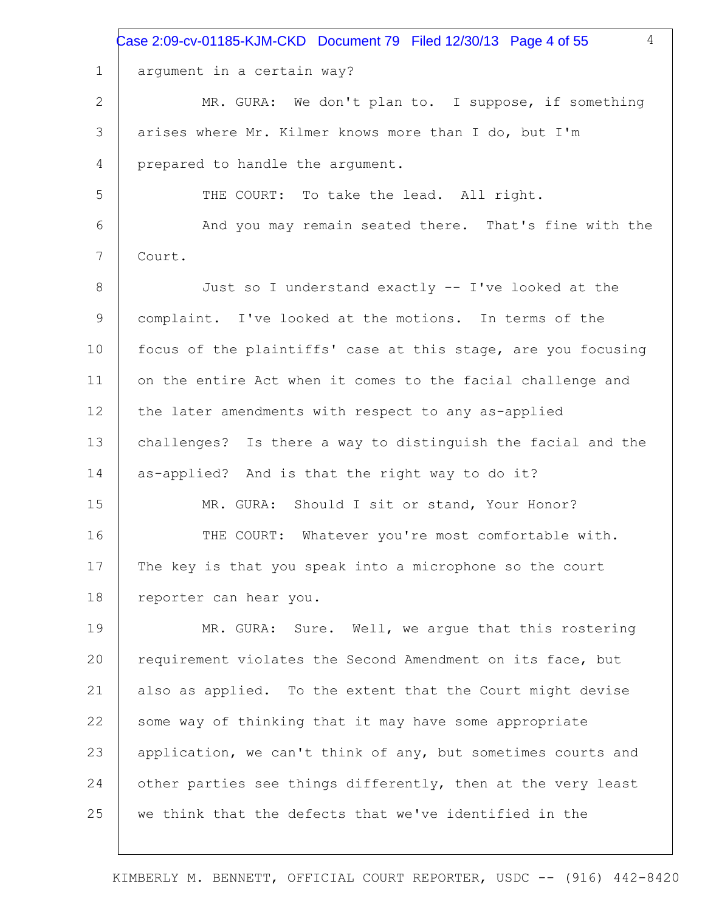|              | $\overline{4}$<br>Case 2:09-cv-01185-KJM-CKD Document 79 Filed 12/30/13 Page 4 of 55 |
|--------------|--------------------------------------------------------------------------------------|
| $\mathbf 1$  | argument in a certain way?                                                           |
| $\mathbf{2}$ | MR. GURA: We don't plan to. I suppose, if something                                  |
| 3            | arises where Mr. Kilmer knows more than I do, but I'm                                |
| 4            | prepared to handle the argument.                                                     |
| 5            | THE COURT: To take the lead. All right.                                              |
| 6            | And you may remain seated there. That's fine with the                                |
| 7            | Court.                                                                               |
| 8            | Just so I understand exactly -- I've looked at the                                   |
| 9            | complaint. I've looked at the motions. In terms of the                               |
| 10           | focus of the plaintiffs' case at this stage, are you focusing                        |
| 11           | on the entire Act when it comes to the facial challenge and                          |
| 12           | the later amendments with respect to any as-applied                                  |
| 13           | challenges? Is there a way to distinguish the facial and the                         |
| 14           | as-applied? And is that the right way to do it?                                      |
| 15           | MR. GURA: Should I sit or stand, Your Honor?                                         |
| 16           | Whatever you're most comfortable with.<br>THE COURT:                                 |
| 17           | The key is that you speak into a microphone so the court                             |
| 18           | reporter can hear you.                                                               |
| 19           | MR. GURA: Sure. Well, we arque that this rostering                                   |
| 20           | requirement violates the Second Amendment on its face, but                           |
| 21           | also as applied. To the extent that the Court might devise                           |
| 22           | some way of thinking that it may have some appropriate                               |
| 23           | application, we can't think of any, but sometimes courts and                         |
| 24           | other parties see things differently, then at the very least                         |
| 25           | we think that the defects that we've identified in the                               |
|              |                                                                                      |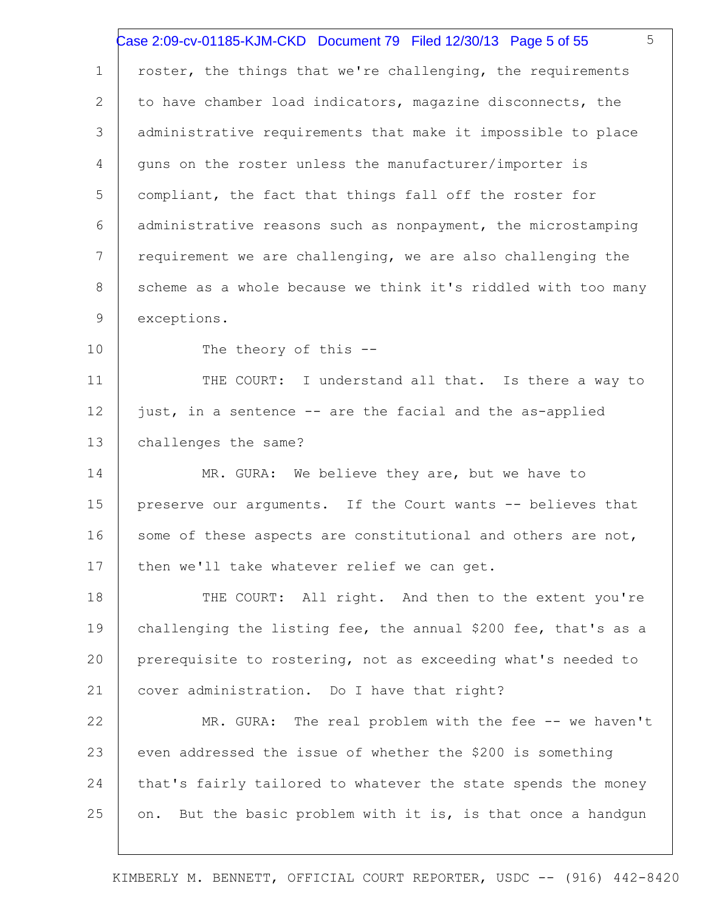|             | 5<br>Case 2:09-cv-01185-KJM-CKD Document 79 Filed 12/30/13 Page 5 of 55 |
|-------------|-------------------------------------------------------------------------|
| $\mathbf 1$ | roster, the things that we're challenging, the requirements             |
| 2           | to have chamber load indicators, magazine disconnects, the              |
| 3           | administrative requirements that make it impossible to place            |
| 4           | quns on the roster unless the manufacturer/importer is                  |
| 5           | compliant, the fact that things fall off the roster for                 |
| 6           | administrative reasons such as nonpayment, the microstamping            |
| 7           | requirement we are challenging, we are also challenging the             |
| 8           | scheme as a whole because we think it's riddled with too many           |
| 9           | exceptions.                                                             |
| 10          | The theory of this --                                                   |
| 11          | THE COURT: I understand all that. Is there a way to                     |
| 12          | just, in a sentence -- are the facial and the as-applied                |
| 13          | challenges the same?                                                    |
| 14          | MR. GURA: We believe they are, but we have to                           |
| 15          | preserve our arguments. If the Court wants -- believes that             |
| 16          | some of these aspects are constitutional and others are not,            |
| 17          | then we'll take whatever relief we can get.                             |
| 18          | THE COURT: All right. And then to the extent you're                     |
| 19          | challenging the listing fee, the annual \$200 fee, that's as a          |
| 20          | prerequisite to rostering, not as exceeding what's needed to            |
| 21          | cover administration. Do I have that right?                             |
| 22          | MR. GURA: The real problem with the fee -- we haven't                   |
| 23          | even addressed the issue of whether the \$200 is something              |
| 24          | that's fairly tailored to whatever the state spends the money           |
| 25          | But the basic problem with it is, is that once a handgun<br>on.         |
|             |                                                                         |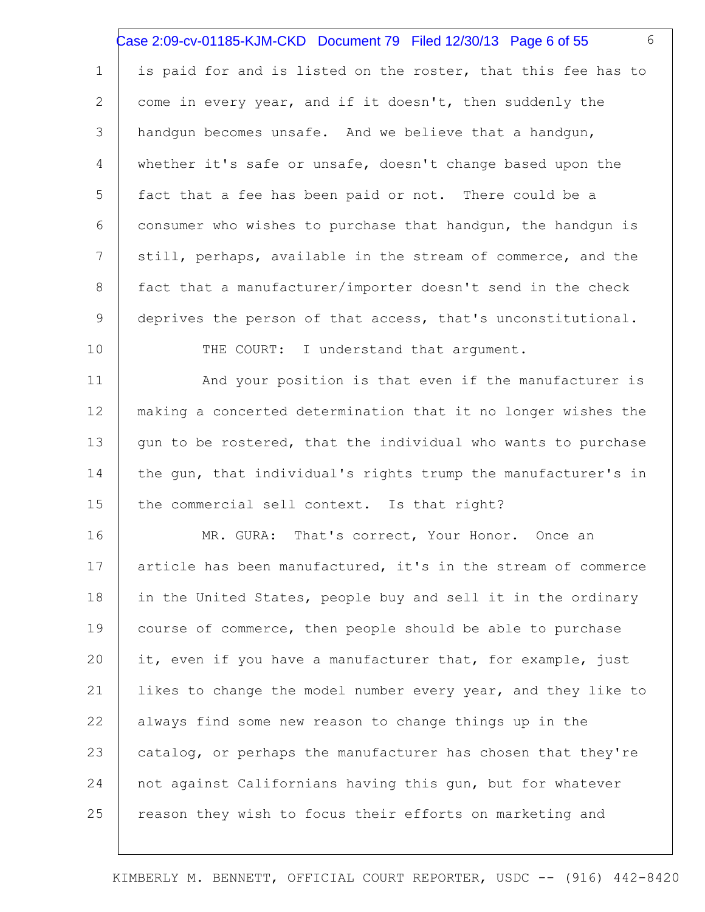|                 | 6<br>Case 2:09-cv-01185-KJM-CKD Document 79 Filed 12/30/13 Page 6 of 55 |
|-----------------|-------------------------------------------------------------------------|
| $\mathbf 1$     | is paid for and is listed on the roster, that this fee has to           |
| 2               | come in every year, and if it doesn't, then suddenly the                |
| 3               | handqun becomes unsafe. And we believe that a handqun,                  |
| 4               | whether it's safe or unsafe, doesn't change based upon the              |
| 5               | fact that a fee has been paid or not. There could be a                  |
| 6               | consumer who wishes to purchase that handqun, the handqun is            |
| $7\phantom{.0}$ | still, perhaps, available in the stream of commerce, and the            |
| 8               | fact that a manufacturer/importer doesn't send in the check             |
| 9               | deprives the person of that access, that's unconstitutional.            |
| 10              | THE COURT: I understand that argument.                                  |
| 11              | And your position is that even if the manufacturer is                   |
| 12              | making a concerted determination that it no longer wishes the           |
| 13              | gun to be rostered, that the individual who wants to purchase           |
| 14              | the gun, that individual's rights trump the manufacturer's in           |
| 15              | the commercial sell context. Is that right?                             |
| 16              | That's correct, Your Honor. Once an<br>MR. GURA:                        |
| 17              | article has been manufactured, it's in the stream of commerce           |
| 18              | in the United States, people buy and sell it in the ordinary            |
| 19              | course of commerce, then people should be able to purchase              |
| 20              | it, even if you have a manufacturer that, for example, just             |
| 21              | likes to change the model number every year, and they like to           |
| 22              | always find some new reason to change things up in the                  |
| 23              | catalog, or perhaps the manufacturer has chosen that they're            |
| 24              | not against Californians having this gun, but for whatever              |
| 25              | reason they wish to focus their efforts on marketing and                |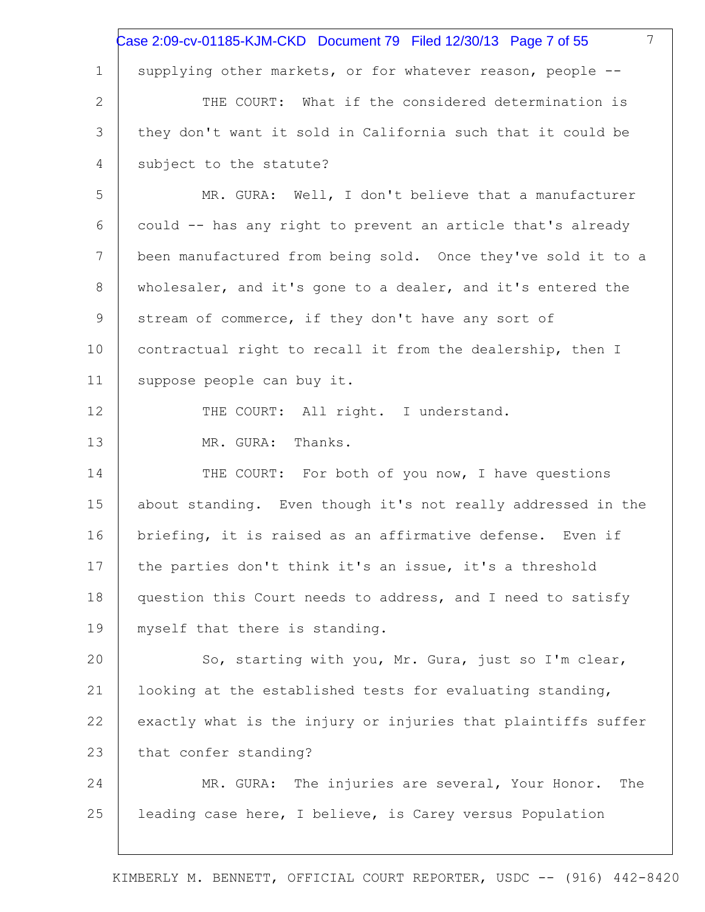|                 | 7<br>Case 2:09-cv-01185-KJM-CKD Document 79 Filed 12/30/13 Page 7 of 55 |
|-----------------|-------------------------------------------------------------------------|
| $\mathbf 1$     | supplying other markets, or for whatever reason, people --              |
| 2               | THE COURT: What if the considered determination is                      |
| 3               | they don't want it sold in California such that it could be             |
| 4               | subject to the statute?                                                 |
| 5               | MR. GURA: Well, I don't believe that a manufacturer                     |
| 6               | could -- has any right to prevent an article that's already             |
| $7\phantom{.0}$ | been manufactured from being sold. Once they've sold it to a            |
| 8               | wholesaler, and it's gone to a dealer, and it's entered the             |
| $\mathsf 9$     | stream of commerce, if they don't have any sort of                      |
| 10              | contractual right to recall it from the dealership, then I              |
| 11              | suppose people can buy it.                                              |
| 12              | THE COURT: All right. I understand.                                     |
| 13              | MR. GURA: Thanks.                                                       |
| 14              | THE COURT: For both of you now, I have questions                        |
| 15              | about standing. Even though it's not really addressed in the            |
| 16              | briefing, it is raised as an affirmative defense. Even if               |
| 17              | the parties don't think it's an issue, it's a threshold                 |
| 18              | question this Court needs to address, and I need to satisfy             |
| 19              | myself that there is standing.                                          |
| 20              | So, starting with you, Mr. Gura, just so I'm clear,                     |
| 21              | looking at the established tests for evaluating standing,               |
| 22              | exactly what is the injury or injuries that plaintiffs suffer           |
| 23              | that confer standing?                                                   |
| 24              | MR. GURA: The injuries are several, Your Honor.<br>The                  |
| 25              | leading case here, I believe, is Carey versus Population                |
|                 |                                                                         |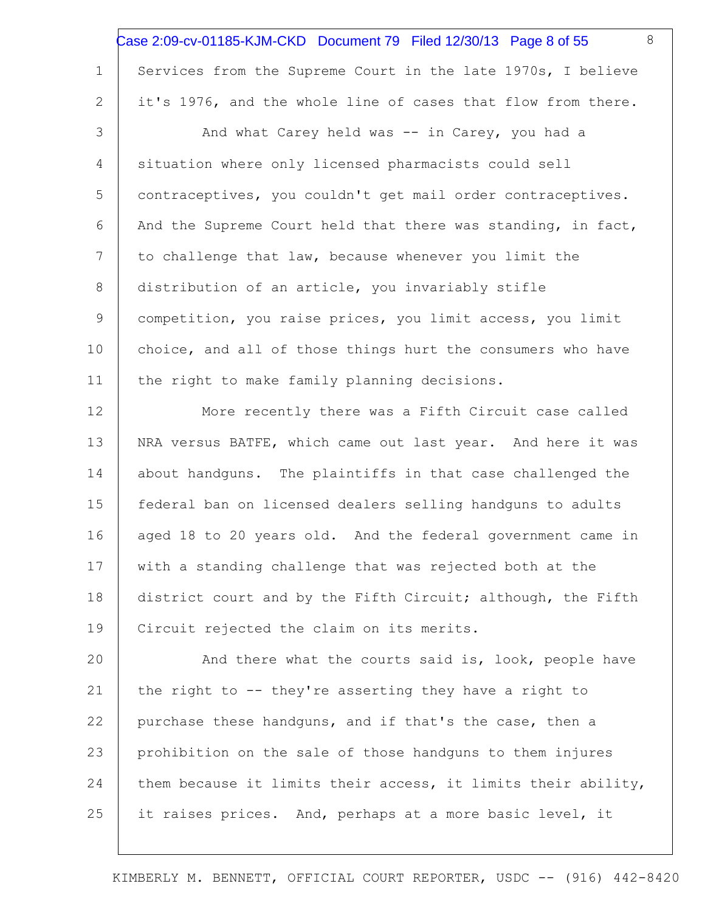|                 | 8<br>Case 2:09-cv-01185-KJM-CKD Document 79    Filed 12/30/13    Page 8 of 55 |
|-----------------|-------------------------------------------------------------------------------|
| $\mathbf 1$     | Services from the Supreme Court in the late 1970s, I believe                  |
| 2               | it's 1976, and the whole line of cases that flow from there.                  |
| 3               | And what Carey held was -- in Carey, you had a                                |
| 4               | situation where only licensed pharmacists could sell                          |
| 5               | contraceptives, you couldn't get mail order contraceptives.                   |
| 6               | And the Supreme Court held that there was standing, in fact,                  |
| $7\phantom{.0}$ | to challenge that law, because whenever you limit the                         |
| 8               | distribution of an article, you invariably stifle                             |
| 9               | competition, you raise prices, you limit access, you limit                    |
| 10              | choice, and all of those things hurt the consumers who have                   |
| 11              | the right to make family planning decisions.                                  |
| 12              | More recently there was a Fifth Circuit case called                           |
| 13              | NRA versus BATFE, which came out last year. And here it was                   |
| 14              | about handguns. The plaintiffs in that case challenged the                    |
| 15              | federal ban on licensed dealers selling handguns to adults                    |
| 16              | aged 18 to 20 years old. And the federal government came in                   |
| 17              | with a standing challenge that was rejected both at the                       |
| 18              | district court and by the Fifth Circuit; although, the Fifth                  |
| 19              | Circuit rejected the claim on its merits.                                     |
| 20              | And there what the courts said is, look, people have                          |
| 21              | the right to -- they're asserting they have a right to                        |
| 22              | purchase these handguns, and if that's the case, then a                       |
| 23              | prohibition on the sale of those handguns to them injures                     |
| 24              | them because it limits their access, it limits their ability,                 |
| 25              | it raises prices. And, perhaps at a more basic level, it                      |
|                 |                                                                               |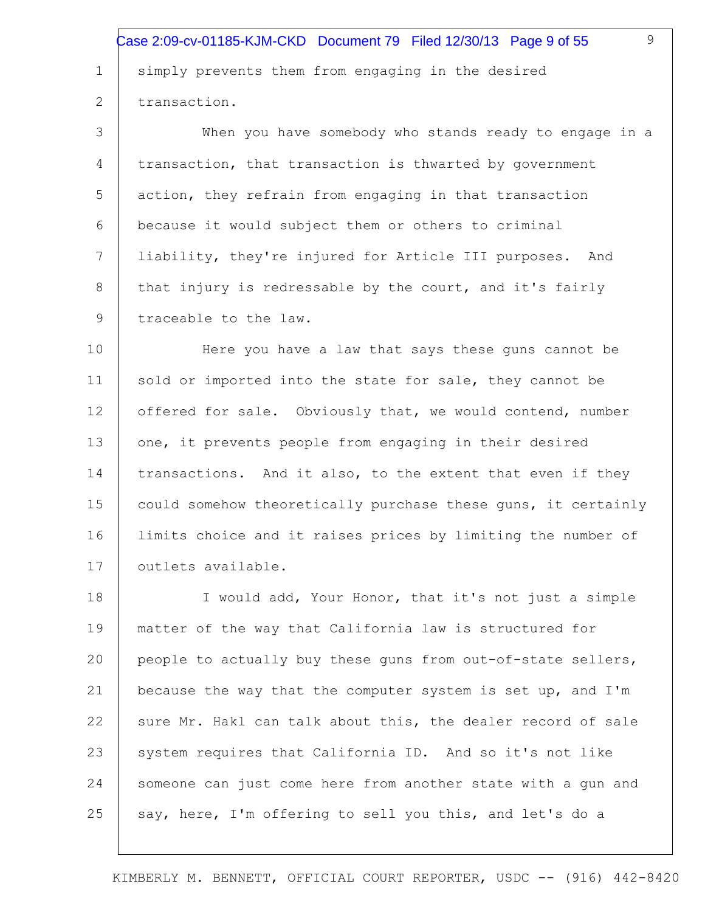simply prevents them from engaging in the desired transaction. Case 2:09-cv-01185-KJM-CKD Document 79 Filed 12/30/13 Page 9 of 55

1

2

3 4 5 6 7 8 9 When you have somebody who stands ready to engage in a transaction, that transaction is thwarted by government action, they refrain from engaging in that transaction because it would subject them or others to criminal liability, they're injured for Article III purposes. And that injury is redressable by the court, and it's fairly traceable to the law.

10 11 12 13 14 15 16 17 Here you have a law that says these guns cannot be sold or imported into the state for sale, they cannot be offered for sale. Obviously that, we would contend, number one, it prevents people from engaging in their desired transactions. And it also, to the extent that even if they could somehow theoretically purchase these guns, it certainly limits choice and it raises prices by limiting the number of outlets available.

18 19 20 21 22 23 24 25 I would add, Your Honor, that it's not just a simple matter of the way that California law is structured for people to actually buy these guns from out-of-state sellers, because the way that the computer system is set up, and I'm sure Mr. Hakl can talk about this, the dealer record of sale system requires that California ID. And so it's not like someone can just come here from another state with a gun and say, here, I'm offering to sell you this, and let's do a

KIMBERLY M. BENNETT, OFFICIAL COURT REPORTER, USDC -- (916) 442-8420

9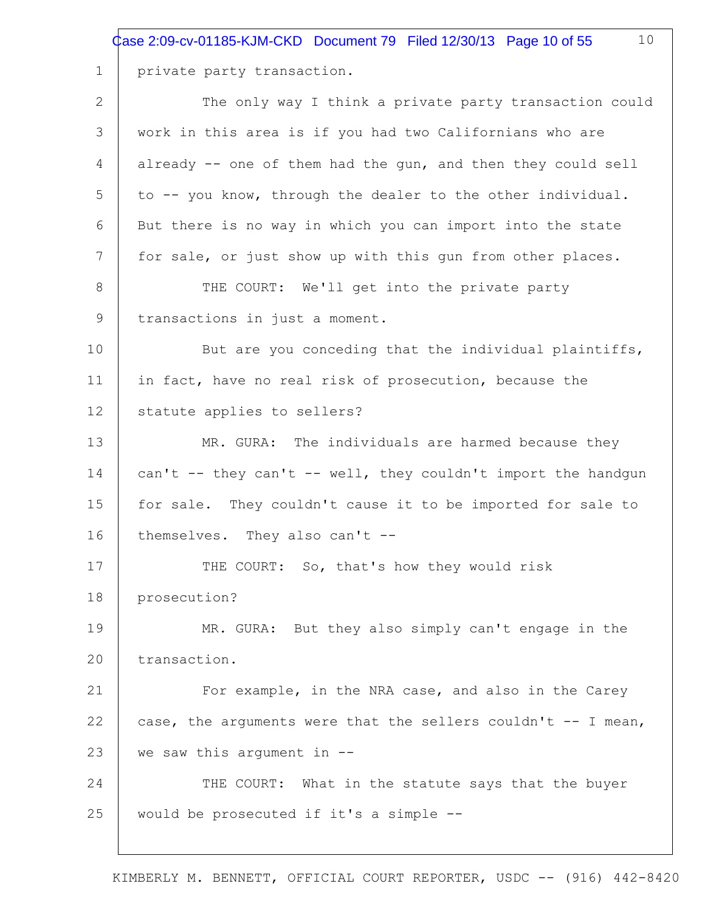Case 2:09-cv-01185-KJM-CKD Document 79 Filed 12/30/13 Page 10 of 55

10

private party transaction.

1

2 3 4 5 6 7 8 9 10 11 12 13 14 15 16 17 18 19 20 21 22 23 24 25 The only way I think a private party transaction could work in this area is if you had two Californians who are already -- one of them had the gun, and then they could sell to -- you know, through the dealer to the other individual. But there is no way in which you can import into the state for sale, or just show up with this gun from other places. THE COURT: We'll get into the private party transactions in just a moment. But are you conceding that the individual plaintiffs, in fact, have no real risk of prosecution, because the statute applies to sellers? MR. GURA: The individuals are harmed because they can't -- they can't -- well, they couldn't import the handgun for sale. They couldn't cause it to be imported for sale to themselves. They also can't -- THE COURT: So, that's how they would risk prosecution? MR. GURA: But they also simply can't engage in the transaction. For example, in the NRA case, and also in the Carey case, the arguments were that the sellers couldn't -- I mean, we saw this argument in -- THE COURT: What in the statute says that the buyer would be prosecuted if it's a simple --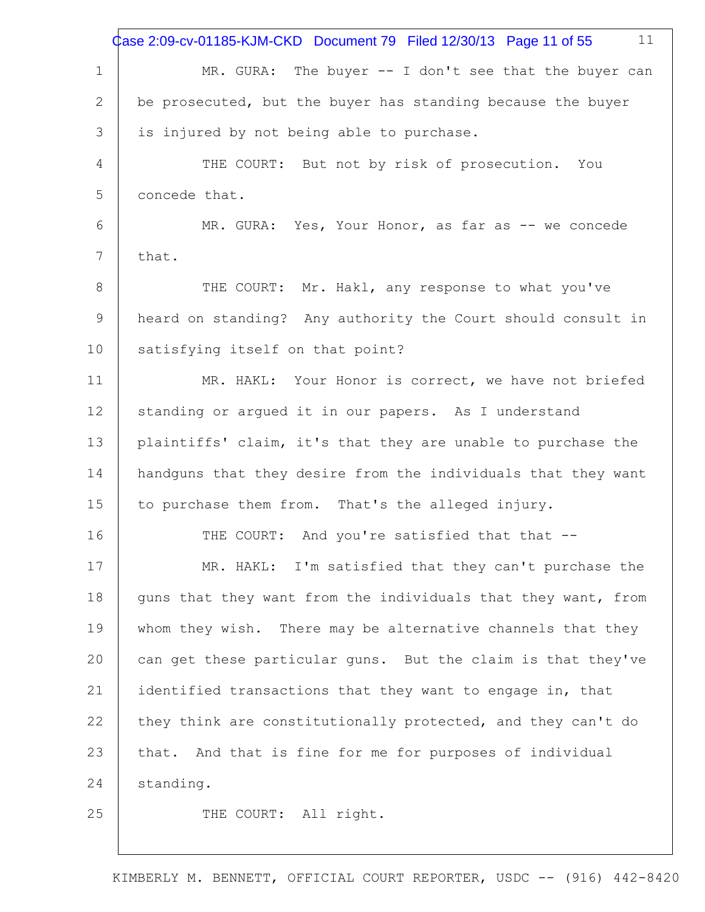|             | 11<br>Case 2:09-cv-01185-KJM-CKD Document 79 Filed 12/30/13 Page 11 of 55 |
|-------------|---------------------------------------------------------------------------|
| $\mathbf 1$ | MR. GURA: The buyer $-$ I don't see that the buyer can                    |
| 2           | be prosecuted, but the buyer has standing because the buyer               |
| 3           | is injured by not being able to purchase.                                 |
| 4           | THE COURT: But not by risk of prosecution. You                            |
| 5           | concede that.                                                             |
| 6           | MR. GURA: Yes, Your Honor, as far as -- we concede                        |
| 7           | that.                                                                     |
| 8           | THE COURT: Mr. Hakl, any response to what you've                          |
| 9           | heard on standing? Any authority the Court should consult in              |
| 10          | satisfying itself on that point?                                          |
| 11          | MR. HAKL: Your Honor is correct, we have not briefed                      |
| 12          | standing or argued it in our papers. As I understand                      |
| 13          | plaintiffs' claim, it's that they are unable to purchase the              |
| 14          | handguns that they desire from the individuals that they want             |
| 15          | to purchase them from. That's the alleged injury.                         |
| 16          | And you're satisfied that that --<br>THE COURT:                           |
| 17          | MR. HAKL: I'm satisfied that they can't purchase the                      |
| 18          | guns that they want from the individuals that they want, from             |
| 19          | whom they wish. There may be alternative channels that they               |
| 20          | can get these particular guns. But the claim is that they've              |
| 21          | identified transactions that they want to engage in, that                 |
| 22          | they think are constitutionally protected, and they can't do              |
| 23          | that. And that is fine for me for purposes of individual                  |
| 24          | standing.                                                                 |
| 25          | THE COURT: All right.                                                     |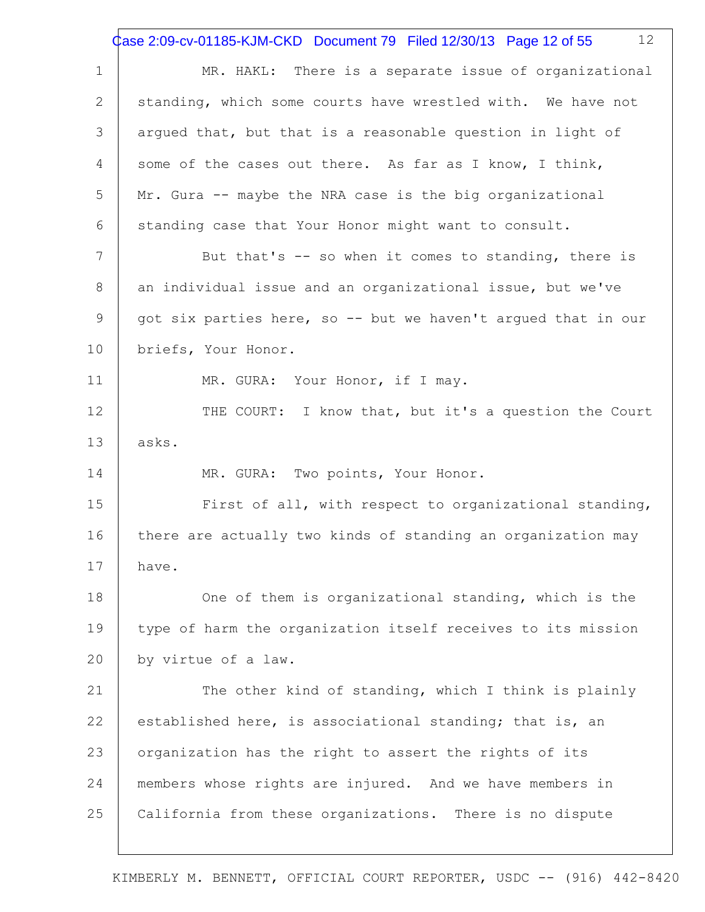1 2 3 4 5 6 7 8 9 10 11 12 13 14 15 16 17 18 19 20 21 22 23 24 25 12 MR. HAKL: There is a separate issue of organizational standing, which some courts have wrestled with. We have not argued that, but that is a reasonable question in light of some of the cases out there. As far as I know, I think, Mr. Gura -- maybe the NRA case is the big organizational standing case that Your Honor might want to consult. But that's -- so when it comes to standing, there is an individual issue and an organizational issue, but we've got six parties here, so -- but we haven't argued that in our briefs, Your Honor. MR. GURA: Your Honor, if I may. THE COURT: I know that, but it's a question the Court asks. MR. GURA: Two points, Your Honor. First of all, with respect to organizational standing, there are actually two kinds of standing an organization may have. One of them is organizational standing, which is the type of harm the organization itself receives to its mission by virtue of a law. The other kind of standing, which I think is plainly established here, is associational standing; that is, an organization has the right to assert the rights of its members whose rights are injured. And we have members in California from these organizations. There is no dispute Case 2:09-cv-01185-KJM-CKD Document 79 Filed 12/30/13 Page 12 of 55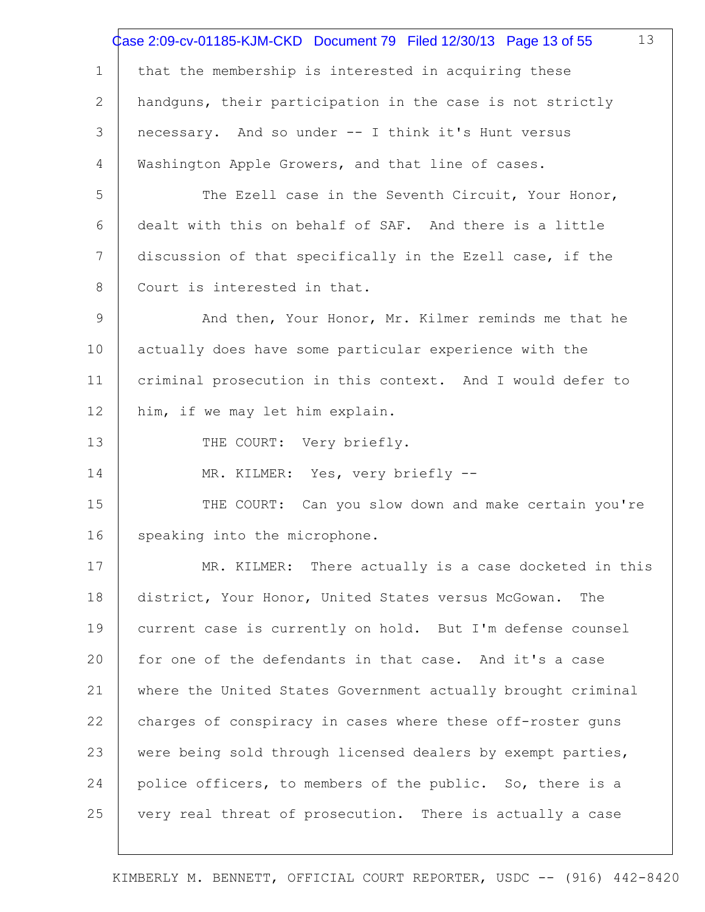|              | 13<br>Case 2:09-cv-01185-KJM-CKD Document 79 Filed 12/30/13 Page 13 of 55 |
|--------------|---------------------------------------------------------------------------|
| $\mathbf 1$  | that the membership is interested in acquiring these                      |
| $\mathbf{2}$ | handguns, their participation in the case is not strictly                 |
| 3            | necessary. And so under -- I think it's Hunt versus                       |
| 4            | Washington Apple Growers, and that line of cases.                         |
| 5            | The Ezell case in the Seventh Circuit, Your Honor,                        |
| 6            | dealt with this on behalf of SAF. And there is a little                   |
| 7            | discussion of that specifically in the Ezell case, if the                 |
| 8            | Court is interested in that.                                              |
| 9            | And then, Your Honor, Mr. Kilmer reminds me that he                       |
| 10           | actually does have some particular experience with the                    |
| 11           | criminal prosecution in this context. And I would defer to                |
| 12           | him, if we may let him explain.                                           |
| 13           | THE COURT: Very briefly.                                                  |
| 14           | MR. KILMER: Yes, very briefly --                                          |
| 15           | THE COURT: Can you slow down and make certain you're                      |
| 16           | speaking into the microphone.                                             |
| 17           | MR. KILMER: There actually is a case docketed in this                     |
| 18           | district, Your Honor, United States versus McGowan.<br>The                |
| 19           | current case is currently on hold. But I'm defense counsel                |
| 20           | for one of the defendants in that case. And it's a case                   |
| 21           | where the United States Government actually brought criminal              |
| 22           | charges of conspiracy in cases where these off-roster guns                |
| 23           | were being sold through licensed dealers by exempt parties,               |
| 24           | police officers, to members of the public. So, there is a                 |
| 25           | very real threat of prosecution. There is actually a case                 |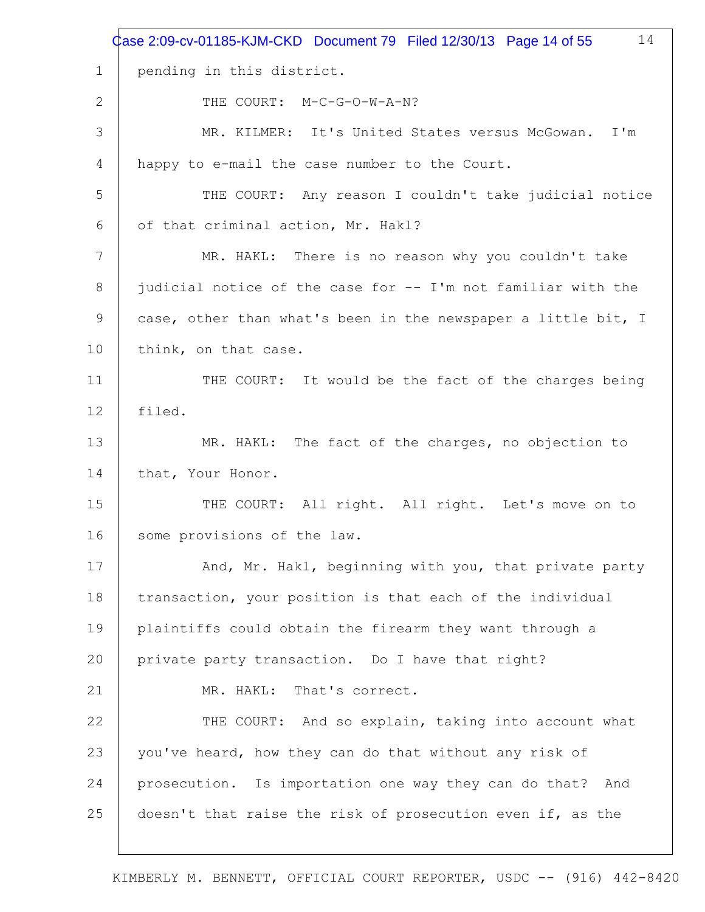|                | Case 2:09-cv-01185-KJM-CKD Document 79 Filed 12/30/13 Page 14 of 55<br>14 |
|----------------|---------------------------------------------------------------------------|
| $\mathbf 1$    | pending in this district.                                                 |
| 2              | THE COURT: M-C-G-O-W-A-N?                                                 |
| 3              | MR. KILMER: It's United States versus McGowan. I'm                        |
| 4              | happy to e-mail the case number to the Court.                             |
| 5              | THE COURT: Any reason I couldn't take judicial notice                     |
| 6              | of that criminal action, Mr. Hakl?                                        |
| 7              | MR. HAKL: There is no reason why you couldn't take                        |
| 8              | judicial notice of the case for -- I'm not familiar with the              |
| $\overline{9}$ | case, other than what's been in the newspaper a little bit, I             |
| 10             | think, on that case.                                                      |
| 11             | THE COURT: It would be the fact of the charges being                      |
| 12             | filed.                                                                    |
| 13             | MR. HAKL: The fact of the charges, no objection to                        |
| 14             | that, Your Honor.                                                         |
| 15             | THE COURT: All right. All right. Let's move on to                         |
| 16             | some provisions of the law.                                               |
| 17             | And, Mr. Hakl, beginning with you, that private party                     |
| 18             | transaction, your position is that each of the individual                 |
| 19             | plaintiffs could obtain the firearm they want through a                   |
| 20             | private party transaction. Do I have that right?                          |
| 21             | MR. HAKL: That's correct.                                                 |
| 22             | THE COURT: And so explain, taking into account what                       |
| 23             | you've heard, how they can do that without any risk of                    |
| 24             | prosecution. Is importation one way they can do that? And                 |
| 25             | doesn't that raise the risk of prosecution even if, as the                |
|                |                                                                           |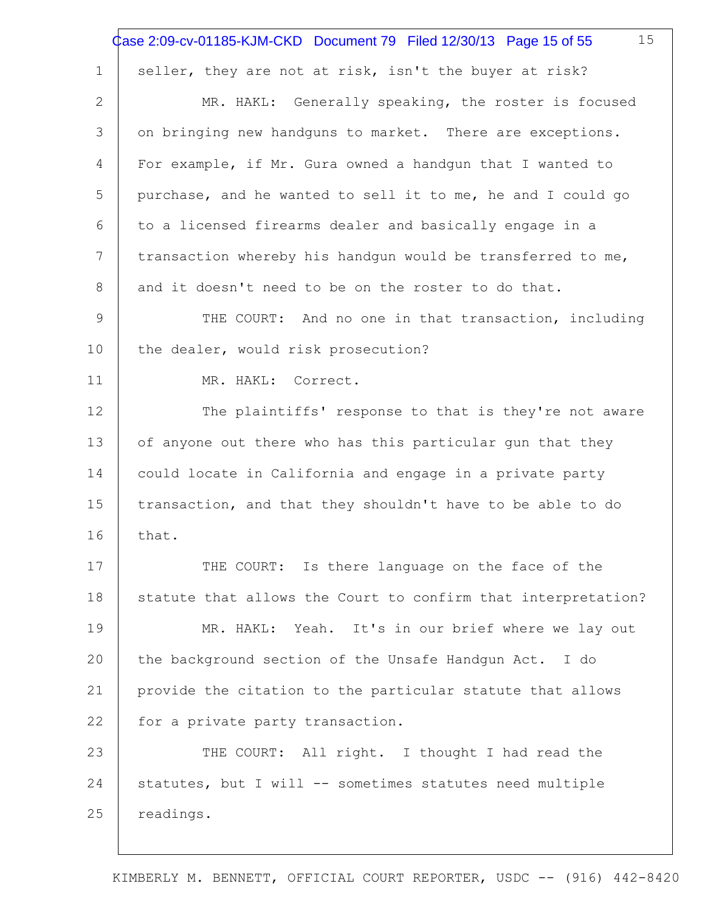|                 | 15<br>Case 2:09-cv-01185-KJM-CKD Document 79 Filed 12/30/13 Page 15 of 55 |
|-----------------|---------------------------------------------------------------------------|
| $\mathbf 1$     | seller, they are not at risk, isn't the buyer at risk?                    |
| 2               | MR. HAKL: Generally speaking, the roster is focused                       |
| 3               | on bringing new handguns to market. There are exceptions.                 |
| 4               | For example, if Mr. Gura owned a handqun that I wanted to                 |
| 5               | purchase, and he wanted to sell it to me, he and I could go               |
| 6               | to a licensed firearms dealer and basically engage in a                   |
| $7\phantom{.0}$ | transaction whereby his handgun would be transferred to me,               |
| 8               | and it doesn't need to be on the roster to do that.                       |
| 9               | THE COURT: And no one in that transaction, including                      |
| 10              | the dealer, would risk prosecution?                                       |
| 11              | MR. HAKL: Correct.                                                        |
| 12              | The plaintiffs' response to that is they're not aware                     |
| 13              | of anyone out there who has this particular gun that they                 |
| 14              | could locate in California and engage in a private party                  |
| 15              | transaction, and that they shouldn't have to be able to do                |
| 16              | that.                                                                     |
| 17              | THE COURT: Is there language on the face of the                           |
| 18              | statute that allows the Court to confirm that interpretation?             |
| 19              | MR. HAKL: Yeah. It's in our brief where we lay out                        |
| 20              | the background section of the Unsafe Handgun Act. I do                    |
| 21              | provide the citation to the particular statute that allows                |
| 22              | for a private party transaction.                                          |
| 23              | THE COURT: All right. I thought I had read the                            |
| 24              | statutes, but I will -- sometimes statutes need multiple                  |
| 25              | readings.                                                                 |
|                 |                                                                           |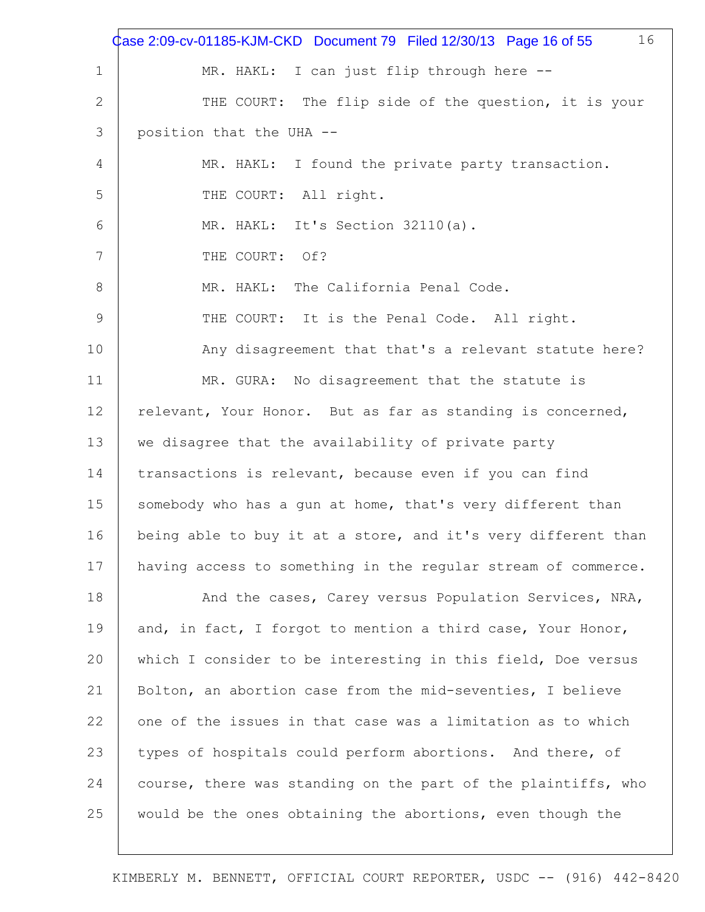|               | 16<br>Case 2:09-cv-01185-KJM-CKD Document 79 Filed 12/30/13 Page 16 of 55 |
|---------------|---------------------------------------------------------------------------|
| 1             | MR. HAKL: I can just flip through here --                                 |
| 2             | THE COURT: The flip side of the question, it is your                      |
| 3             | position that the UHA --                                                  |
| 4             | MR. HAKL: I found the private party transaction.                          |
| 5             | THE COURT: All right.                                                     |
| 6             | MR. HAKL: It's Section 32110(a).                                          |
| 7             | THE COURT: Of?                                                            |
| 8             | MR. HAKL: The California Penal Code.                                      |
| $\mathcal{G}$ | THE COURT: It is the Penal Code. All right.                               |
| 10            | Any disagreement that that's a relevant statute here?                     |
| 11            | MR. GURA: No disagreement that the statute is                             |
| 12            | relevant, Your Honor. But as far as standing is concerned,                |
| 13            | we disagree that the availability of private party                        |
| 14            | transactions is relevant, because even if you can find                    |
| 15            | somebody who has a gun at home, that's very different than                |
| 16            | being able to buy it at a store, and it's very different than             |
| 17            | having access to something in the regular stream of commerce.             |
| 18            | And the cases, Carey versus Population Services, NRA,                     |
| 19            | and, in fact, I forgot to mention a third case, Your Honor,               |
| 20            | which I consider to be interesting in this field, Doe versus              |
| 21            | Bolton, an abortion case from the mid-seventies, I believe                |
| 22            | one of the issues in that case was a limitation as to which               |
| 23            | types of hospitals could perform abortions. And there, of                 |
| 24            | course, there was standing on the part of the plaintiffs, who             |
| 25            | would be the ones obtaining the abortions, even though the                |
|               |                                                                           |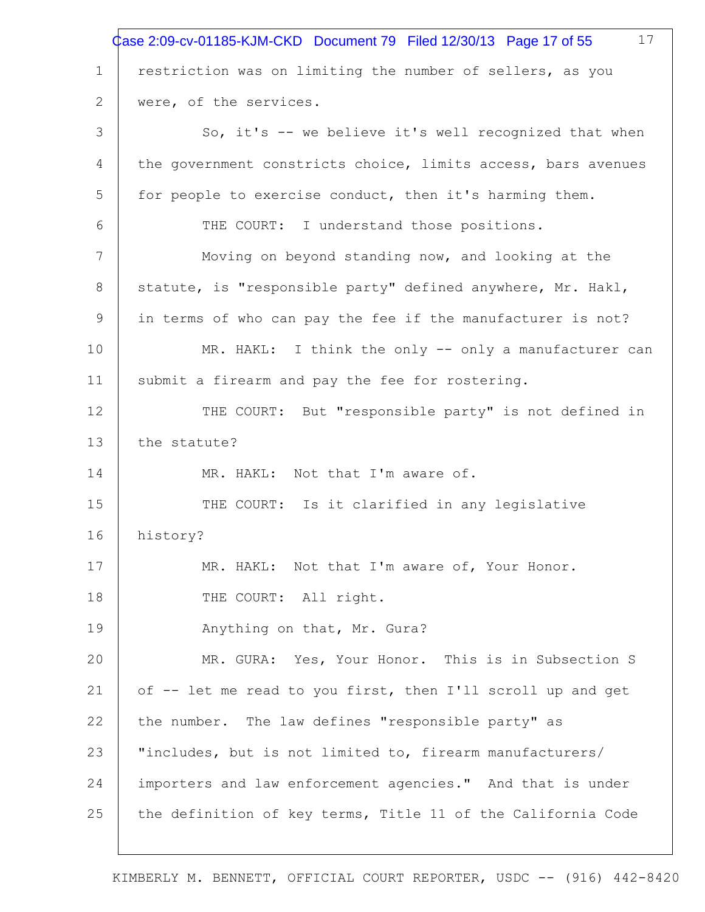|             | 17<br>Case 2:09-cv-01185-KJM-CKD Document 79 Filed 12/30/13 Page 17 of 55 |
|-------------|---------------------------------------------------------------------------|
| $\mathbf 1$ | restriction was on limiting the number of sellers, as you                 |
| 2           | were, of the services.                                                    |
| 3           | So, it's -- we believe it's well recognized that when                     |
| 4           | the government constricts choice, limits access, bars avenues             |
| 5           | for people to exercise conduct, then it's harming them.                   |
| 6           | THE COURT: I understand those positions.                                  |
| 7           | Moving on beyond standing now, and looking at the                         |
| 8           | statute, is "responsible party" defined anywhere, Mr. Hakl,               |
| 9           | in terms of who can pay the fee if the manufacturer is not?               |
| 10          | MR. HAKL: I think the only -- only a manufacturer can                     |
| 11          | submit a firearm and pay the fee for rostering.                           |
| 12          | THE COURT: But "responsible party" is not defined in                      |
| 13          | the statute?                                                              |
| 14          | MR. HAKL: Not that I'm aware of.                                          |
| 15          | THE COURT: Is it clarified in any legislative                             |
| 16          | history?                                                                  |
| 17          | MR. HAKL: Not that I'm aware of, Your Honor.                              |
| 18          | THE COURT: All right.                                                     |
| 19          | Anything on that, Mr. Gura?                                               |
| 20          | MR. GURA: Yes, Your Honor. This is in Subsection S                        |
| 21          | of -- let me read to you first, then I'll scroll up and get               |
| 22          | the number. The law defines "responsible party" as                        |
| 23          | "includes, but is not limited to, firearm manufacturers/                  |
| 24          | importers and law enforcement agencies." And that is under                |
| 25          | the definition of key terms, Title 11 of the California Code              |
|             |                                                                           |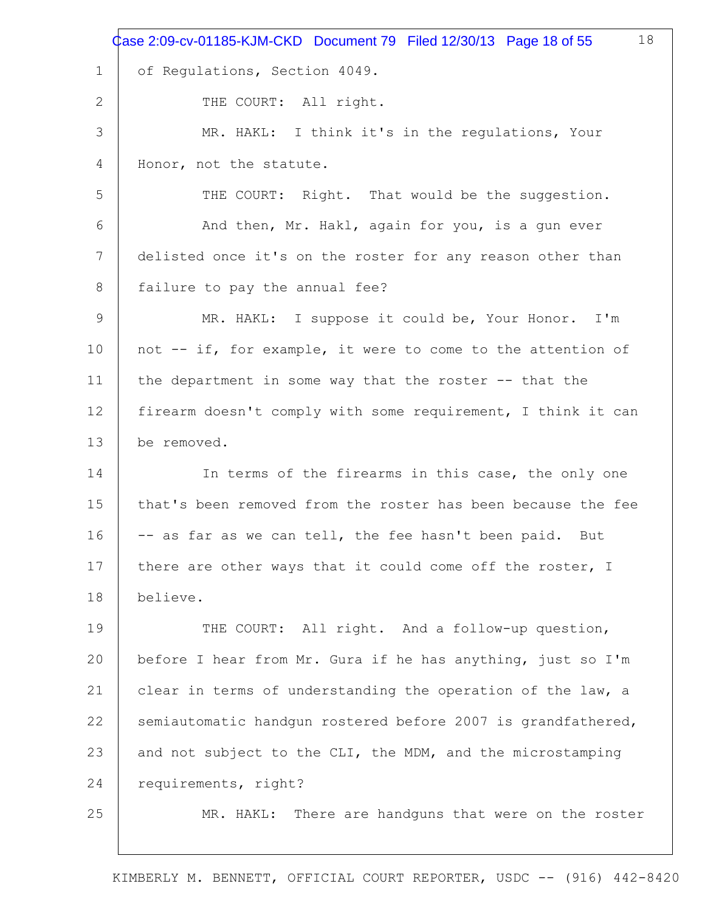|                 | 18<br>Case 2:09-cv-01185-KJM-CKD Document 79 Filed 12/30/13 Page 18 of 55 |
|-----------------|---------------------------------------------------------------------------|
| $\mathbf 1$     | of Regulations, Section 4049.                                             |
| 2               | THE COURT: All right.                                                     |
| 3               | MR. HAKL: I think it's in the regulations, Your                           |
| 4               | Honor, not the statute.                                                   |
| 5               | THE COURT: Right. That would be the suggestion.                           |
| 6               | And then, Mr. Hakl, again for you, is a gun ever                          |
| $7\phantom{.0}$ | delisted once it's on the roster for any reason other than                |
| 8               | failure to pay the annual fee?                                            |
| 9               | MR. HAKL: I suppose it could be, Your Honor. I'm                          |
| 10              | not -- if, for example, it were to come to the attention of               |
| 11              | the department in some way that the roster -- that the                    |
| 12              | firearm doesn't comply with some requirement, I think it can              |
| 13              | be removed.                                                               |
| 14              | In terms of the firearms in this case, the only one                       |
| 15              | that's been removed from the roster has been because the fee              |
| 16              | -- as far as we can tell, the fee hasn't been paid.<br>But                |
| 17              | there are other ways that it could come off the roster, I                 |
| 18              | believe.                                                                  |
| 19              | THE COURT: All right. And a follow-up question,                           |
| 20              | before I hear from Mr. Gura if he has anything, just so I'm               |
| 21              | clear in terms of understanding the operation of the law, a               |
| 22              | semiautomatic handgun rostered before 2007 is grandfathered,              |
| 23              | and not subject to the CLI, the MDM, and the microstamping                |
| 24              | requirements, right?                                                      |
| 25              | MR. HAKL: There are handguns that were on the roster                      |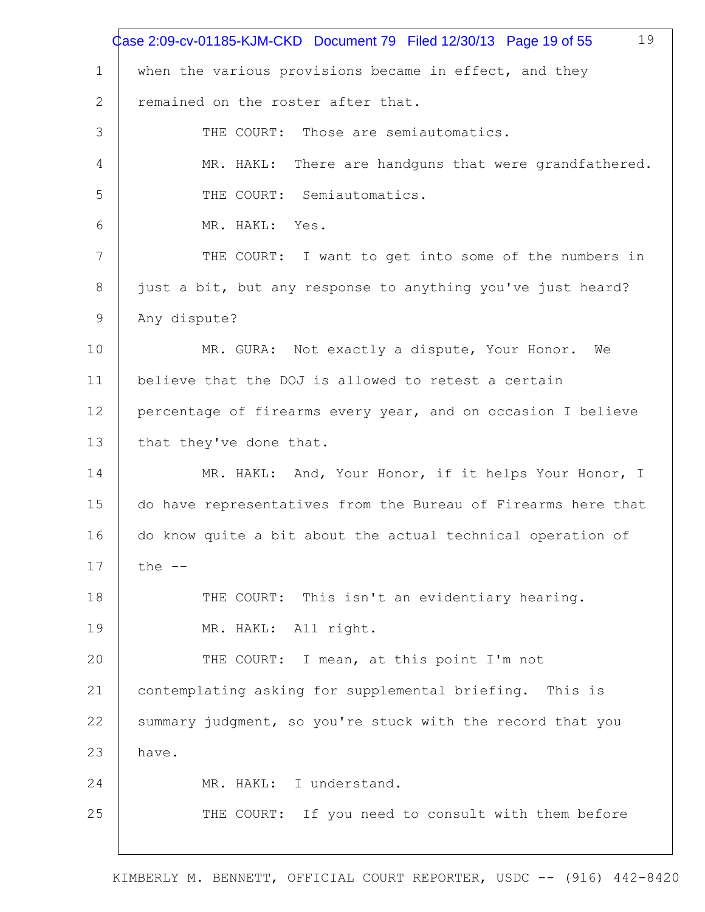|    | 19<br>Case 2:09-cv-01185-KJM-CKD Document 79 Filed 12/30/13 Page 19 of 55 |
|----|---------------------------------------------------------------------------|
| 1  | when the various provisions became in effect, and they                    |
| 2  | remained on the roster after that.                                        |
| 3  | THE COURT: Those are semiautomatics.                                      |
| 4  | MR. HAKL: There are handquns that were grandfathered.                     |
| 5  | THE COURT: Semiautomatics.                                                |
| 6  | MR. HAKL: Yes.                                                            |
| 7  | THE COURT: I want to get into some of the numbers in                      |
| 8  | just a bit, but any response to anything you've just heard?               |
| 9  | Any dispute?                                                              |
| 10 | MR. GURA: Not exactly a dispute, Your Honor. We                           |
| 11 | believe that the DOJ is allowed to retest a certain                       |
| 12 | percentage of firearms every year, and on occasion I believe              |
| 13 | that they've done that.                                                   |
| 14 | MR. HAKL: And, Your Honor, if it helps Your Honor, I                      |
| 15 | do have representatives from the Bureau of Firearms here that             |
| 16 | do know quite a bit about the actual technical operation of               |
| 17 | the $--$                                                                  |
| 18 | THE COURT: This isn't an evidentiary hearing.                             |
| 19 | MR. HAKL: All right.                                                      |
| 20 | THE COURT: I mean, at this point I'm not                                  |
| 21 | contemplating asking for supplemental briefing. This is                   |
| 22 | summary judgment, so you're stuck with the record that you                |
| 23 | have.                                                                     |
| 24 | MR. HAKL: I understand.                                                   |
| 25 | THE COURT: If you need to consult with them before                        |
|    |                                                                           |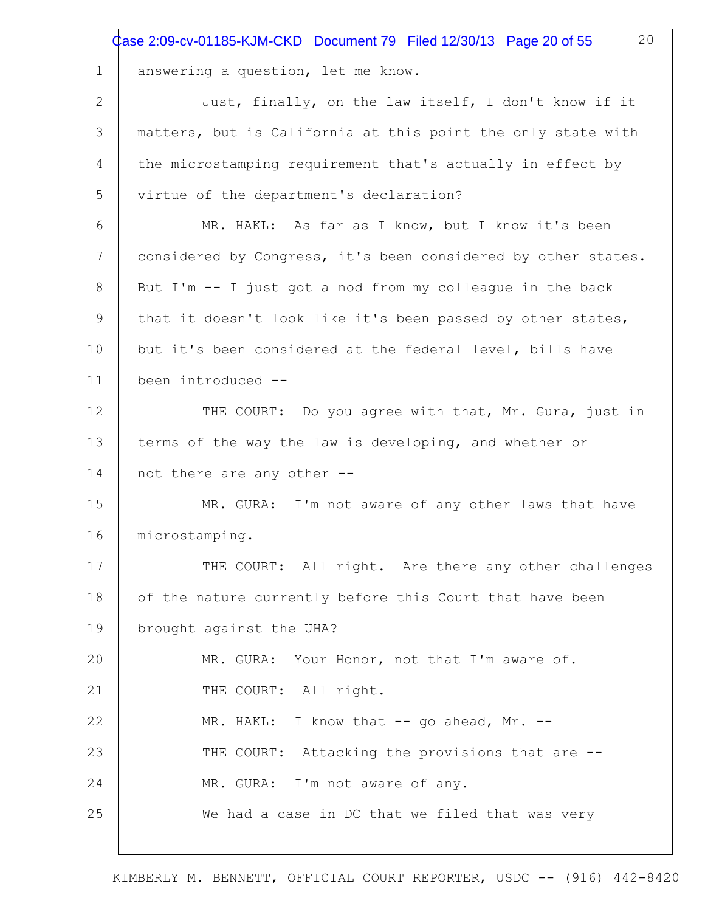|             | 20<br>Case 2:09-cv-01185-KJM-CKD Document 79 Filed 12/30/13 Page 20 of 55 |
|-------------|---------------------------------------------------------------------------|
| $\mathbf 1$ | answering a question, let me know.                                        |
| 2           | Just, finally, on the law itself, I don't know if it                      |
| 3           | matters, but is California at this point the only state with              |
| 4           | the microstamping requirement that's actually in effect by                |
| 5           | virtue of the department's declaration?                                   |
| 6           | MR. HAKL: As far as I know, but I know it's been                          |
| 7           | considered by Congress, it's been considered by other states.             |
| 8           | But I'm -- I just got a nod from my colleague in the back                 |
| 9           | that it doesn't look like it's been passed by other states,               |
| 10          | but it's been considered at the federal level, bills have                 |
| 11          | been introduced --                                                        |
| 12          | THE COURT: Do you agree with that, Mr. Gura, just in                      |
| 13          | terms of the way the law is developing, and whether or                    |
| 14          | not there are any other --                                                |
| 15          | MR. GURA: I'm not aware of any other laws that have                       |
| 16          | microstamping.                                                            |
| 17          | THE COURT: All right. Are there any other challenges                      |
| 18          | of the nature currently before this Court that have been                  |
| 19          | brought against the UHA?                                                  |
| 20          | MR. GURA: Your Honor, not that I'm aware of.                              |
| 21          | THE COURT: All right.                                                     |
| 22          | MR. HAKL: I know that -- go ahead, Mr. --                                 |
| 23          | THE COURT: Attacking the provisions that are --                           |
| 24          | MR. GURA: I'm not aware of any.                                           |
| 25          | We had a case in DC that we filed that was very                           |
|             |                                                                           |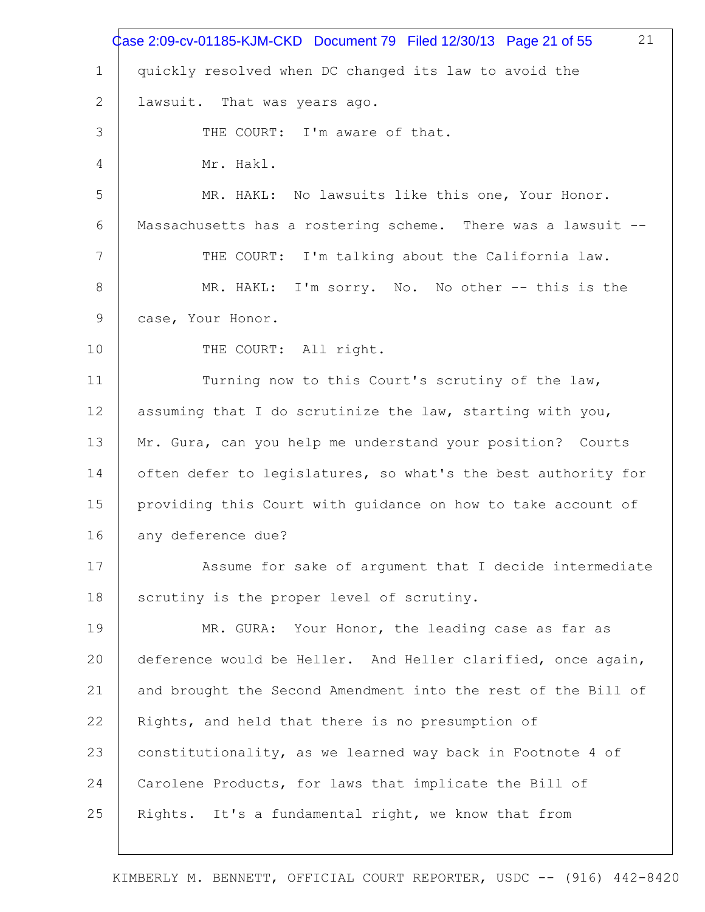| quickly resolved when DC changed its law to avoid the         |
|---------------------------------------------------------------|
|                                                               |
| lawsuit. That was years ago.                                  |
| THE COURT: I'm aware of that.                                 |
| Mr. Hakl.                                                     |
| MR. HAKL: No lawsuits like this one, Your Honor.              |
| Massachusetts has a rostering scheme. There was a lawsuit --  |
| THE COURT: I'm talking about the California law.              |
| MR. HAKL: I'm sorry. No. No other -- this is the              |
| case, Your Honor.                                             |
| THE COURT: All right.                                         |
| Turning now to this Court's scrutiny of the law,              |
| assuming that I do scrutinize the law, starting with you,     |
| Mr. Gura, can you help me understand your position? Courts    |
| often defer to legislatures, so what's the best authority for |
| providing this Court with guidance on how to take account of  |
| any deference due?                                            |
| Assume for sake of argument that I decide intermediate        |
| scrutiny is the proper level of scrutiny.                     |
| MR. GURA: Your Honor, the leading case as far as              |
| deference would be Heller. And Heller clarified, once again,  |
| and brought the Second Amendment into the rest of the Bill of |
| Rights, and held that there is no presumption of              |
| constitutionality, as we learned way back in Footnote 4 of    |
|                                                               |
| Carolene Products, for laws that implicate the Bill of        |
|                                                               |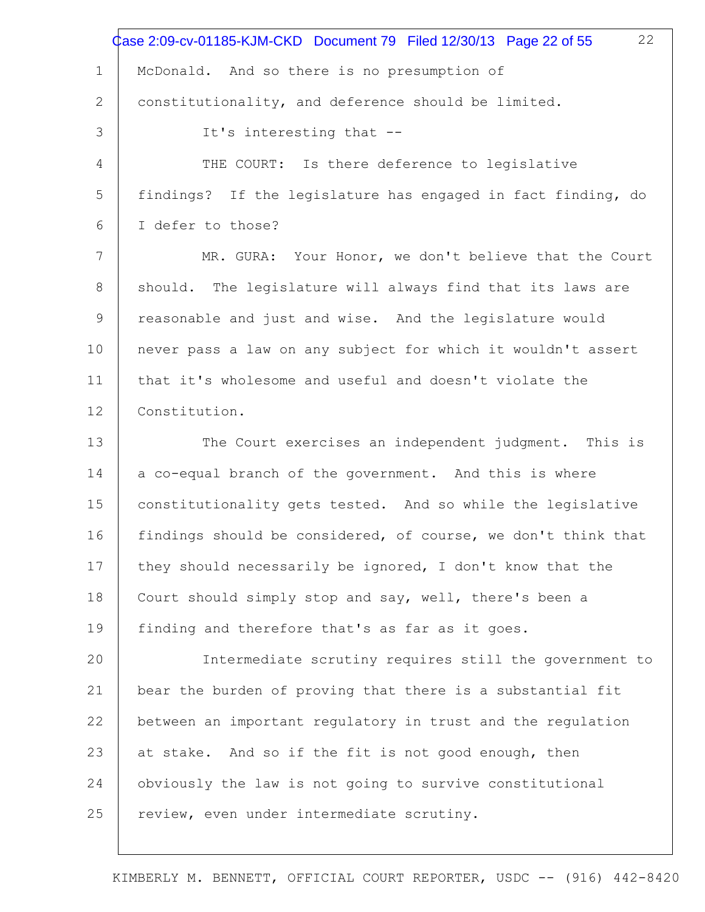|             | 22<br>Case 2:09-cv-01185-KJM-CKD Document 79 Filed 12/30/13 Page 22 of 55 |
|-------------|---------------------------------------------------------------------------|
| $\mathbf 1$ | McDonald. And so there is no presumption of                               |
| 2           | constitutionality, and deference should be limited.                       |
| 3           | It's interesting that --                                                  |
| 4           | THE COURT: Is there deference to legislative                              |
| 5           | findings? If the legislature has engaged in fact finding, do              |
| 6           | I defer to those?                                                         |
| 7           | MR. GURA: Your Honor, we don't believe that the Court                     |
| 8           | should. The legislature will always find that its laws are                |
| 9           | reasonable and just and wise. And the legislature would                   |
| 10          | never pass a law on any subject for which it wouldn't assert              |
| 11          | that it's wholesome and useful and doesn't violate the                    |
| 12          | Constitution.                                                             |
| 13          | The Court exercises an independent judgment. This is                      |
| 14          | a co-equal branch of the government. And this is where                    |
| 15          | constitutionality gets tested. And so while the legislative               |
| 16          | findings should be considered, of course, we don't think that             |
| 17          | they should necessarily be ignored, I don't know that the                 |
| 18          | Court should simply stop and say, well, there's been a                    |
| 19          | finding and therefore that's as far as it goes.                           |
| 20          | Intermediate scrutiny requires still the government to                    |
| 21          | bear the burden of proving that there is a substantial fit                |
| 22          | between an important regulatory in trust and the regulation               |
| 23          | at stake. And so if the fit is not good enough, then                      |
| 24          | obviously the law is not going to survive constitutional                  |
| 25          | review, even under intermediate scrutiny.                                 |
|             |                                                                           |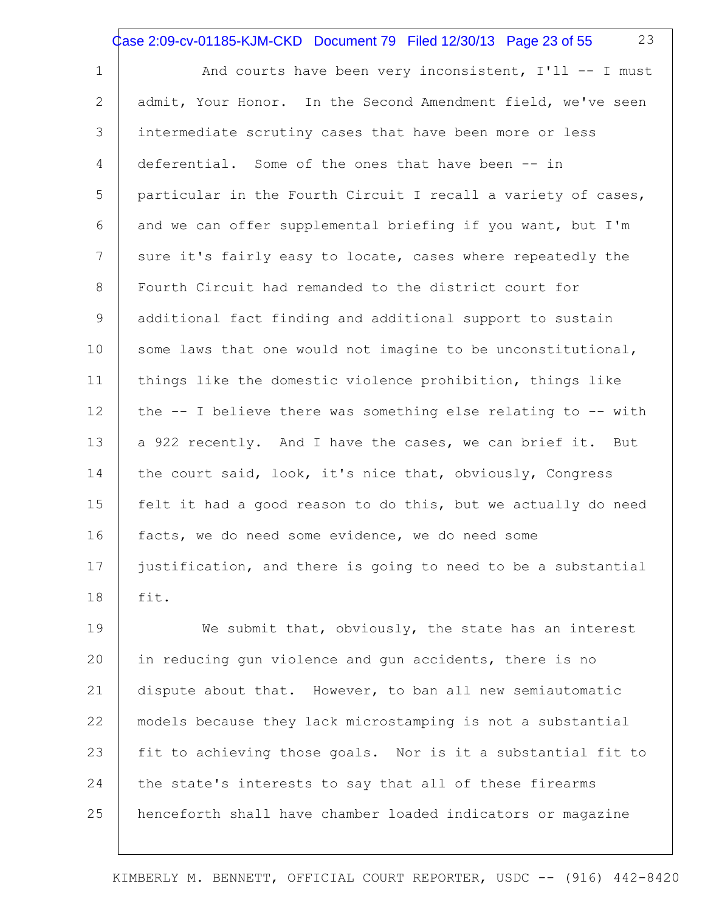Case 2:09-cv-01185-KJM-CKD Document 79 Filed 12/30/13 Page 23 of 55

23

1 2 3 4 5 6 7 8 9 10 11 12 13 14 15 16 17 18 And courts have been very inconsistent, I'll -- I must admit, Your Honor. In the Second Amendment field, we've seen intermediate scrutiny cases that have been more or less deferential. Some of the ones that have been -- in particular in the Fourth Circuit I recall a variety of cases, and we can offer supplemental briefing if you want, but I'm sure it's fairly easy to locate, cases where repeatedly the Fourth Circuit had remanded to the district court for additional fact finding and additional support to sustain some laws that one would not imagine to be unconstitutional, things like the domestic violence prohibition, things like the -- I believe there was something else relating to -- with a 922 recently. And I have the cases, we can brief it. But the court said, look, it's nice that, obviously, Congress felt it had a good reason to do this, but we actually do need facts, we do need some evidence, we do need some justification, and there is going to need to be a substantial fit.

19 20 21 22 23 24 25 We submit that, obviously, the state has an interest in reducing gun violence and gun accidents, there is no dispute about that. However, to ban all new semiautomatic models because they lack microstamping is not a substantial fit to achieving those goals. Nor is it a substantial fit to the state's interests to say that all of these firearms henceforth shall have chamber loaded indicators or magazine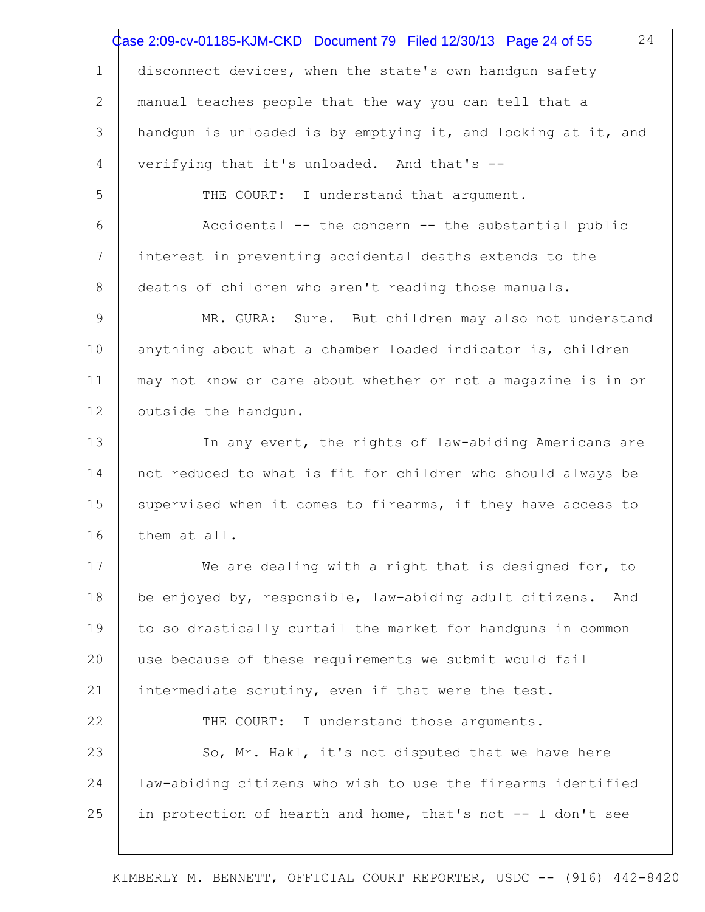|                 | 24<br>Case 2:09-cv-01185-KJM-CKD Document 79 Filed 12/30/13 Page 24 of 55 |
|-----------------|---------------------------------------------------------------------------|
| $\mathbf 1$     | disconnect devices, when the state's own handgun safety                   |
| 2               | manual teaches people that the way you can tell that a                    |
| 3               | handgun is unloaded is by emptying it, and looking at it, and             |
| $\overline{4}$  | verifying that it's unloaded. And that's --                               |
| 5               | THE COURT: I understand that argument.                                    |
| 6               | Accidental -- the concern -- the substantial public                       |
| $7\phantom{.0}$ | interest in preventing accidental deaths extends to the                   |
| 8               | deaths of children who aren't reading those manuals.                      |
| 9               | MR. GURA: Sure. But children may also not understand                      |
| 10              | anything about what a chamber loaded indicator is, children               |
| 11              | may not know or care about whether or not a magazine is in or             |
| 12              | outside the handqun.                                                      |
| 13              | In any event, the rights of law-abiding Americans are                     |
| 14              | not reduced to what is fit for children who should always be              |
| 15              | supervised when it comes to firearms, if they have access to              |
| 16              | them at all.                                                              |
| 17              | We are dealing with a right that is designed for, to                      |
| 18              | be enjoyed by, responsible, law-abiding adult citizens.<br>And            |
| 19              | to so drastically curtail the market for handguns in common               |
| 20              | use because of these requirements we submit would fail                    |
| 21              | intermediate scrutiny, even if that were the test.                        |
| 22              | THE COURT: I understand those arguments.                                  |
| 23              | So, Mr. Hakl, it's not disputed that we have here                         |
| 24              | law-abiding citizens who wish to use the firearms identified              |
| 25              | in protection of hearth and home, that's not -- I don't see               |
|                 |                                                                           |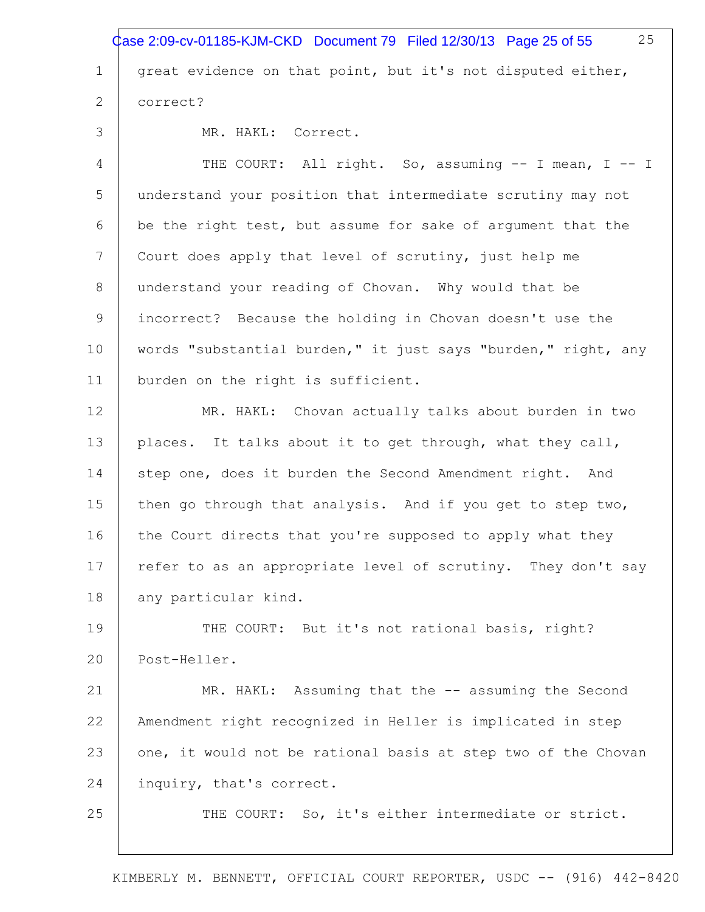1 2 3 4 5 6 7 8 9 10 11 12 13 14 15 16 17 18 19 20 21 22 23 24 25 25 great evidence on that point, but it's not disputed either, correct? MR. HAKL: Correct. THE COURT: All right. So, assuming -- I mean, I -- I understand your position that intermediate scrutiny may not be the right test, but assume for sake of argument that the Court does apply that level of scrutiny, just help me understand your reading of Chovan. Why would that be incorrect? Because the holding in Chovan doesn't use the words "substantial burden," it just says "burden," right, any burden on the right is sufficient. MR. HAKL: Chovan actually talks about burden in two places. It talks about it to get through, what they call, step one, does it burden the Second Amendment right. And then go through that analysis. And if you get to step two, the Court directs that you're supposed to apply what they refer to as an appropriate level of scrutiny. They don't say any particular kind. THE COURT: But it's not rational basis, right? Post-Heller. MR. HAKL: Assuming that the -- assuming the Second Amendment right recognized in Heller is implicated in step one, it would not be rational basis at step two of the Chovan inquiry, that's correct. THE COURT: So, it's either intermediate or strict. Case 2:09-cv-01185-KJM-CKD Document 79 Filed 12/30/13 Page 25 of 55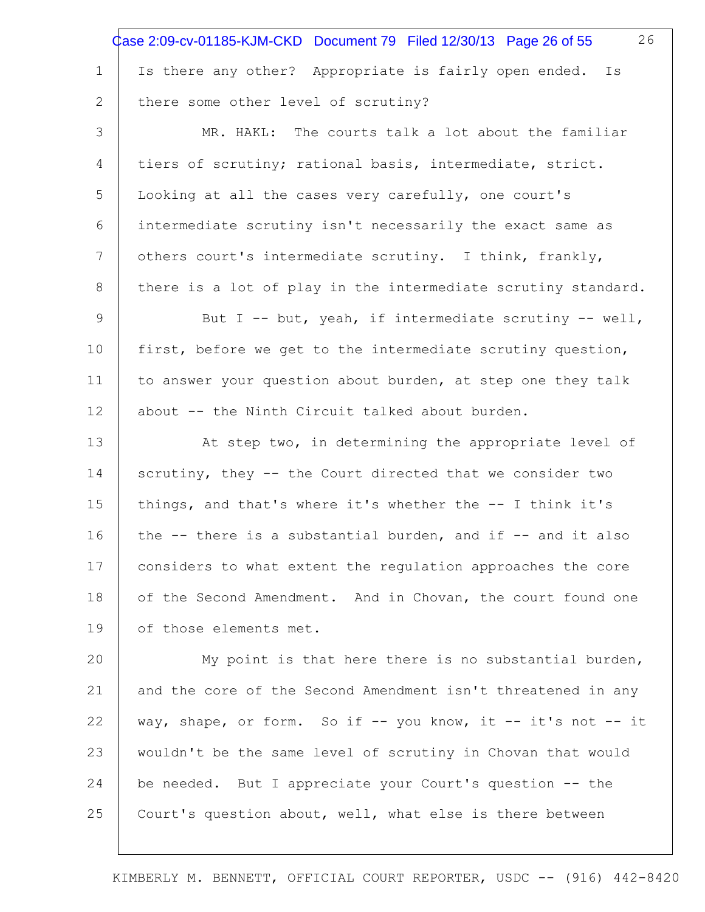|                 | 26<br>Case 2:09-cv-01185-KJM-CKD Document 79 Filed 12/30/13 Page 26 of 55 |
|-----------------|---------------------------------------------------------------------------|
| 1               | Is there any other? Appropriate is fairly open ended. Is                  |
| 2               | there some other level of scrutiny?                                       |
| 3               | MR. HAKL: The courts talk a lot about the familiar                        |
| 4               | tiers of scrutiny; rational basis, intermediate, strict.                  |
| 5               | Looking at all the cases very carefully, one court's                      |
| 6               | intermediate scrutiny isn't necessarily the exact same as                 |
| $7\phantom{.0}$ | others court's intermediate scrutiny. I think, frankly,                   |
| 8               | there is a lot of play in the intermediate scrutiny standard.             |
| $\mathsf 9$     | But I -- but, yeah, if intermediate scrutiny -- well,                     |
| 10              | first, before we get to the intermediate scrutiny question,               |
| 11              | to answer your question about burden, at step one they talk               |
| 12              | about -- the Ninth Circuit talked about burden.                           |
| 13              | At step two, in determining the appropriate level of                      |
| 14              | scrutiny, they -- the Court directed that we consider two                 |
| 15              | things, and that's where it's whether the -- I think it's                 |
| 16              | the -- there is a substantial burden, and if -- and it also               |
| 17              | considers to what extent the regulation approaches the core               |
| 18              | of the Second Amendment. And in Chovan, the court found one               |
| 19              | of those elements met.                                                    |
| 20              | My point is that here there is no substantial burden,                     |
| 21              | and the core of the Second Amendment isn't threatened in any              |
| 22              | way, shape, or form. So if -- you know, it -- it's not -- it              |
| 23              | wouldn't be the same level of scrutiny in Chovan that would               |
| 24              | be needed. But I appreciate your Court's question -- the                  |

25 Court's question about, well, what else is there between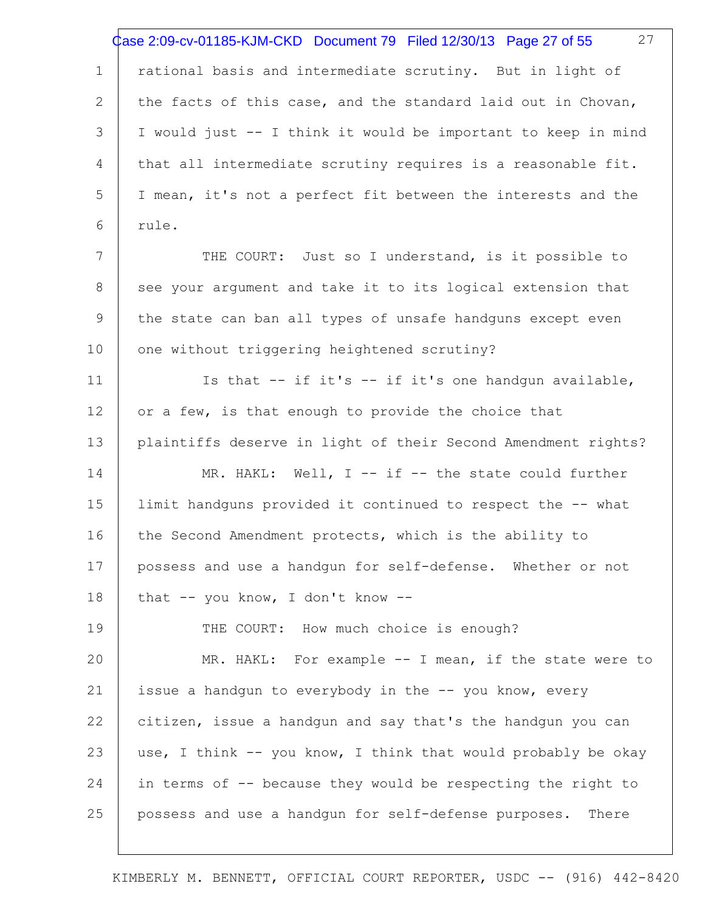|                | 27<br>Case 2:09-cv-01185-KJM-CKD Document 79 Filed 12/30/13 Page 27 of 55 |
|----------------|---------------------------------------------------------------------------|
| $\mathbf 1$    | rational basis and intermediate scrutiny. But in light of                 |
| $\overline{2}$ | the facts of this case, and the standard laid out in Chovan,              |
| 3              | I would just -- I think it would be important to keep in mind             |
| 4              | that all intermediate scrutiny requires is a reasonable fit.              |
| 5              | I mean, it's not a perfect fit between the interests and the              |
| 6              | rule.                                                                     |
| 7              | THE COURT: Just so I understand, is it possible to                        |
| 8              | see your argument and take it to its logical extension that               |
| 9              | the state can ban all types of unsafe handguns except even                |
| 10             | one without triggering heightened scrutiny?                               |
| 11             | Is that $--$ if it's $--$ if it's one handgun available,                  |
| 12             | or a few, is that enough to provide the choice that                       |
| 13             | plaintiffs deserve in light of their Second Amendment rights?             |
| 14             | MR. HAKL: Well, I -- if -- the state could further                        |
| 15             | limit handguns provided it continued to respect the -- what               |
| 16             | the Second Amendment protects, which is the ability to                    |
| 17             | possess and use a handgun for self-defense. Whether or not                |
| 18             | that -- you know, I don't know --                                         |
| 19             | THE COURT: How much choice is enough?                                     |
| 20             | MR. HAKL: For example -- I mean, if the state were to                     |
| 21             | issue a handgun to everybody in the -- you know, every                    |
| 22             | citizen, issue a handgun and say that's the handgun you can               |
| 23             | use, I think -- you know, I think that would probably be okay             |
| 24             | in terms of -- because they would be respecting the right to              |
| 25             | possess and use a handgun for self-defense purposes.<br>There             |
|                |                                                                           |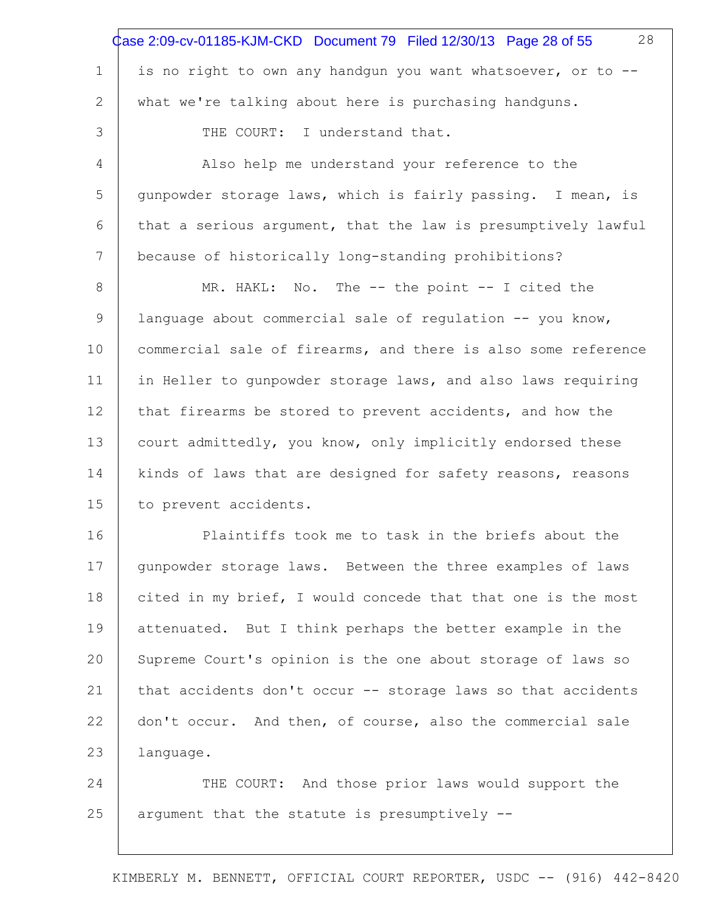|                 | 28<br>Case 2:09-cv-01185-KJM-CKD Document 79 Filed 12/30/13 Page 28 of 55 |
|-----------------|---------------------------------------------------------------------------|
| $\mathbf 1$     | is no right to own any handgun you want whatsoever, or to --              |
| 2               | what we're talking about here is purchasing handguns.                     |
| 3               | THE COURT: I understand that.                                             |
| 4               | Also help me understand your reference to the                             |
| 5               | qunpowder storage laws, which is fairly passing. I mean, is               |
| 6               | that a serious argument, that the law is presumptively lawful             |
| $7\phantom{.0}$ | because of historically long-standing prohibitions?                       |
| 8               | MR. HAKL: No. The -- the point -- I cited the                             |
| 9               | language about commercial sale of regulation -- you know,                 |
| 10              | commercial sale of firearms, and there is also some reference             |
| 11              | in Heller to gunpowder storage laws, and also laws requiring              |
| 12              | that firearms be stored to prevent accidents, and how the                 |
| 13              | court admittedly, you know, only implicitly endorsed these                |
| 14              | kinds of laws that are designed for safety reasons, reasons               |
| 15              | to prevent accidents.                                                     |
| 16              | Plaintiffs took me to task in the briefs about the                        |
| 17              | gunpowder storage laws. Between the three examples of laws                |
| 18              | cited in my brief, I would concede that that one is the most              |
| 19              | attenuated. But I think perhaps the better example in the                 |
| 20              | Supreme Court's opinion is the one about storage of laws so               |
| 21              | that accidents don't occur -- storage laws so that accidents              |
| 22              | don't occur. And then, of course, also the commercial sale                |
| 23              | language.                                                                 |
| 24              | THE COURT: And those prior laws would support the                         |
| 25              | argument that the statute is presumptively --                             |
|                 |                                                                           |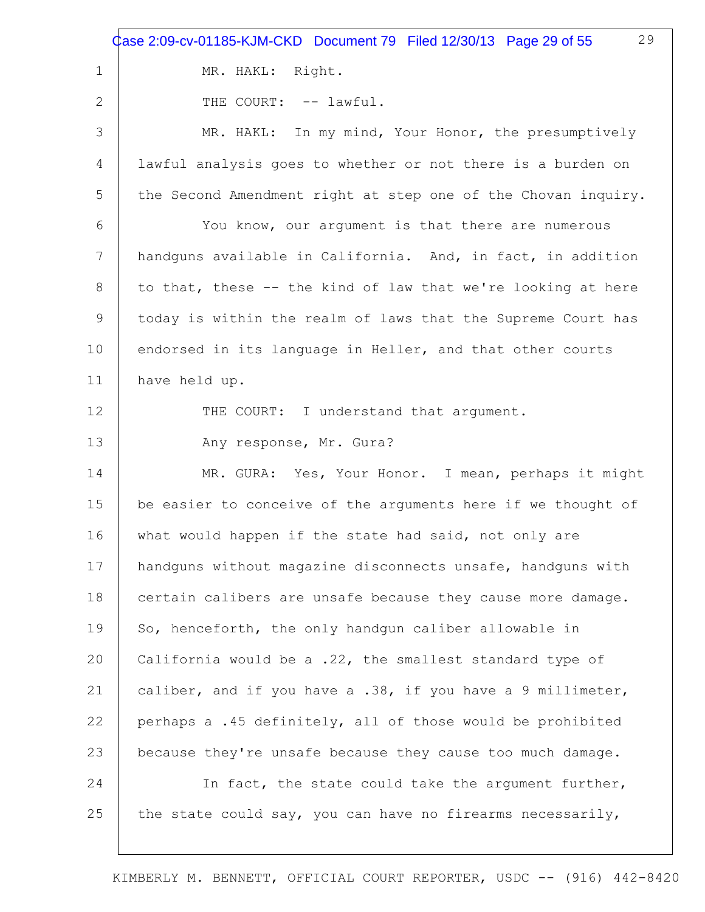1 2 3 4 5 6 7 8 9 10 11 12 13 14 15 16 17 18 19 20 21 22 23 24 25 29 MR. HAKL: Right. THE COURT: -- lawful. MR. HAKL: In my mind, Your Honor, the presumptively lawful analysis goes to whether or not there is a burden on the Second Amendment right at step one of the Chovan inquiry. You know, our argument is that there are numerous handguns available in California. And, in fact, in addition to that, these -- the kind of law that we're looking at here today is within the realm of laws that the Supreme Court has endorsed in its language in Heller, and that other courts have held up. THE COURT: I understand that argument. Any response, Mr. Gura? MR. GURA: Yes, Your Honor. I mean, perhaps it might be easier to conceive of the arguments here if we thought of what would happen if the state had said, not only are handguns without magazine disconnects unsafe, handguns with certain calibers are unsafe because they cause more damage. So, henceforth, the only handgun caliber allowable in California would be a .22, the smallest standard type of caliber, and if you have a .38, if you have a 9 millimeter, perhaps a .45 definitely, all of those would be prohibited because they're unsafe because they cause too much damage. In fact, the state could take the argument further, the state could say, you can have no firearms necessarily, Case 2:09-cv-01185-KJM-CKD Document 79 Filed 12/30/13 Page 29 of 55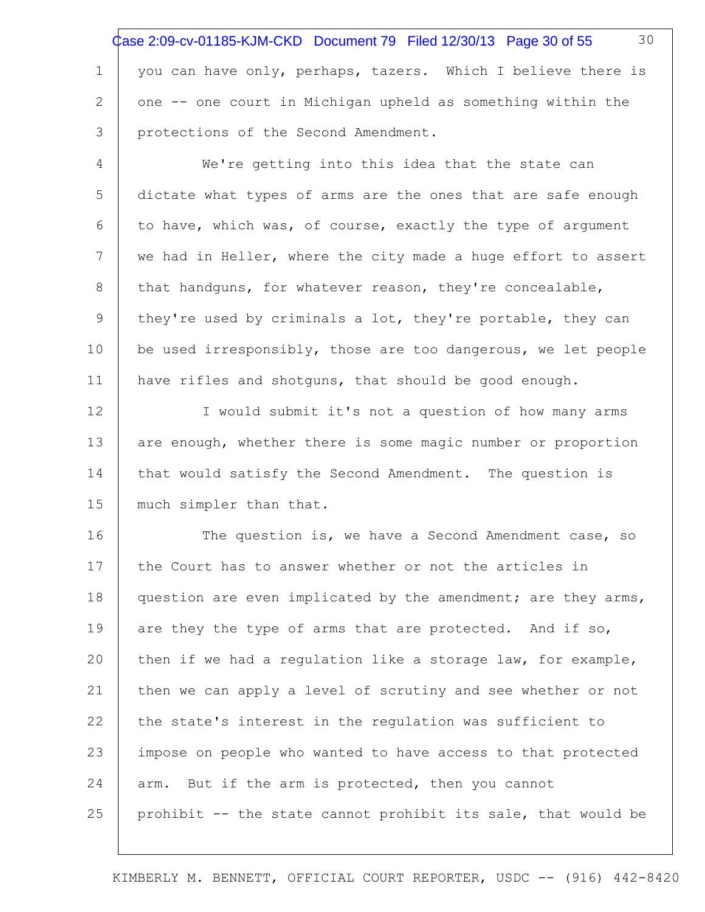1 2 3 30 you can have only, perhaps, tazers. Which I believe there is one -- one court in Michigan upheld as something within the protections of the Second Amendment. Case 2:09-cv-01185-KJM-CKD Document 79 Filed 12/30/13 Page 30 of 55

4 5 6 7 8 9 10 11 We're getting into this idea that the state can dictate what types of arms are the ones that are safe enough to have, which was, of course, exactly the type of argument we had in Heller, where the city made a huge effort to assert that handguns, for whatever reason, they're concealable, they're used by criminals a lot, they're portable, they can be used irresponsibly, those are too dangerous, we let people have rifles and shotguns, that should be good enough.

12 13 14 15 I would submit it's not a question of how many arms are enough, whether there is some magic number or proportion that would satisfy the Second Amendment. The question is much simpler than that.

16 17 18 19 20 21 22 23 24 25 The question is, we have a Second Amendment case, so the Court has to answer whether or not the articles in question are even implicated by the amendment; are they arms, are they the type of arms that are protected. And if so, then if we had a regulation like a storage law, for example, then we can apply a level of scrutiny and see whether or not the state's interest in the regulation was sufficient to impose on people who wanted to have access to that protected arm. But if the arm is protected, then you cannot prohibit -- the state cannot prohibit its sale, that would be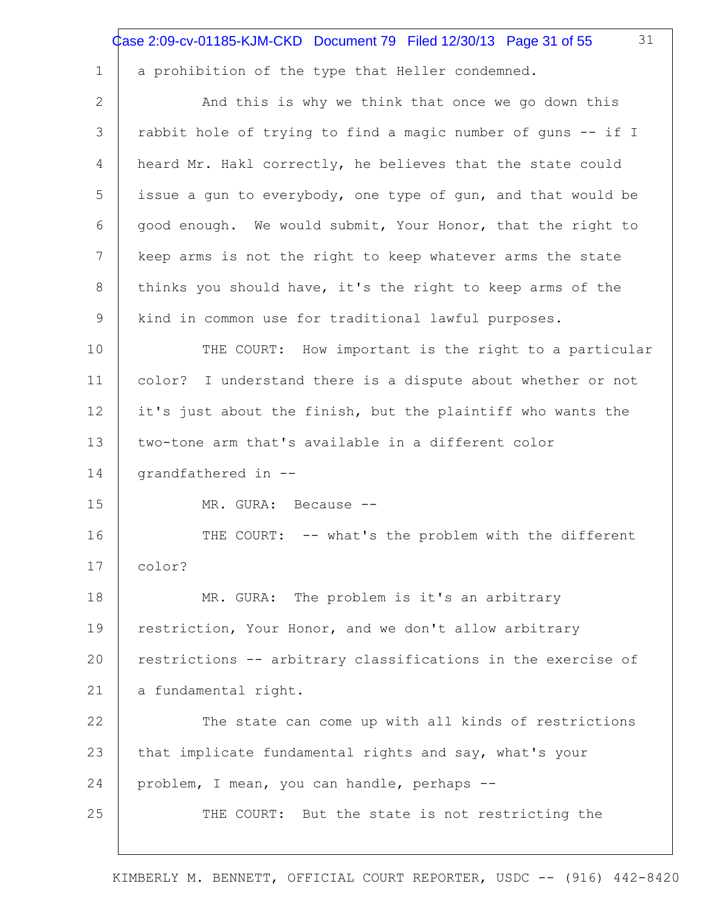|    | 31<br>Case 2:09-cv-01185-KJM-CKD Document 79 Filed 12/30/13 Page 31 of 55 |
|----|---------------------------------------------------------------------------|
| 1  | a prohibition of the type that Heller condemned.                          |
| 2  | And this is why we think that once we go down this                        |
| 3  | rabbit hole of trying to find a magic number of guns -- if I              |
| 4  | heard Mr. Hakl correctly, he believes that the state could                |
| 5  | issue a gun to everybody, one type of gun, and that would be              |
| 6  | good enough. We would submit, Your Honor, that the right to               |
| 7  | keep arms is not the right to keep whatever arms the state                |
| 8  | thinks you should have, it's the right to keep arms of the                |
| 9  | kind in common use for traditional lawful purposes.                       |
| 10 | THE COURT: How important is the right to a particular                     |
| 11 | color? I understand there is a dispute about whether or not               |
| 12 | it's just about the finish, but the plaintiff who wants the               |
| 13 | two-tone arm that's available in a different color                        |
| 14 | grandfathered in --                                                       |
| 15 | MR. GURA: Because --                                                      |
| 16 | THE COURT: -- what's the problem with the different                       |
| 17 | color?                                                                    |
| 18 | MR. GURA: The problem is it's an arbitrary                                |
| 19 | restriction, Your Honor, and we don't allow arbitrary                     |
| 20 | restrictions -- arbitrary classifications in the exercise of              |
| 21 | a fundamental right.                                                      |
| 22 | The state can come up with all kinds of restrictions                      |
| 23 | that implicate fundamental rights and say, what's your                    |
| 24 | problem, I mean, you can handle, perhaps --                               |
| 25 | THE COURT: But the state is not restricting the                           |
|    |                                                                           |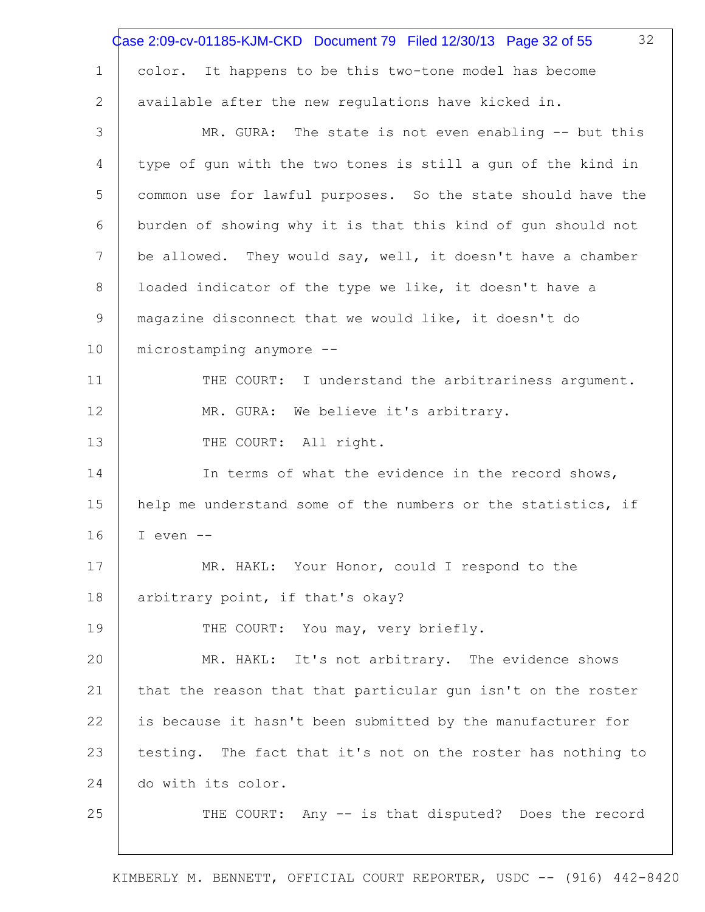|    | 32<br>Case 2:09-cv-01185-KJM-CKD Document 79 Filed 12/30/13 Page 32 of 55 |
|----|---------------------------------------------------------------------------|
| 1  | color. It happens to be this two-tone model has become                    |
| 2  | available after the new regulations have kicked in.                       |
| 3  | MR. GURA: The state is not even enabling -- but this                      |
| 4  | type of gun with the two tones is still a gun of the kind in              |
| 5  | common use for lawful purposes. So the state should have the              |
| 6  | burden of showing why it is that this kind of gun should not              |
| 7  | be allowed. They would say, well, it doesn't have a chamber               |
| 8  | loaded indicator of the type we like, it doesn't have a                   |
| 9  | magazine disconnect that we would like, it doesn't do                     |
| 10 | microstamping anymore --                                                  |
| 11 | THE COURT: I understand the arbitrariness argument.                       |
| 12 | MR. GURA: We believe it's arbitrary.                                      |
| 13 | THE COURT: All right.                                                     |
| 14 | In terms of what the evidence in the record shows,                        |
| 15 | help me understand some of the numbers or the statistics, if              |
| 16 | I even $--$                                                               |
| 17 | MR. HAKL: Your Honor, could I respond to the                              |
| 18 | arbitrary point, if that's okay?                                          |
| 19 | THE COURT: You may, very briefly.                                         |
| 20 | MR. HAKL: It's not arbitrary. The evidence shows                          |
| 21 | that the reason that that particular gun isn't on the roster              |
| 22 | is because it hasn't been submitted by the manufacturer for               |
| 23 | testing. The fact that it's not on the roster has nothing to              |
| 24 | do with its color.                                                        |
| 25 | THE COURT: Any -- is that disputed? Does the record                       |
|    |                                                                           |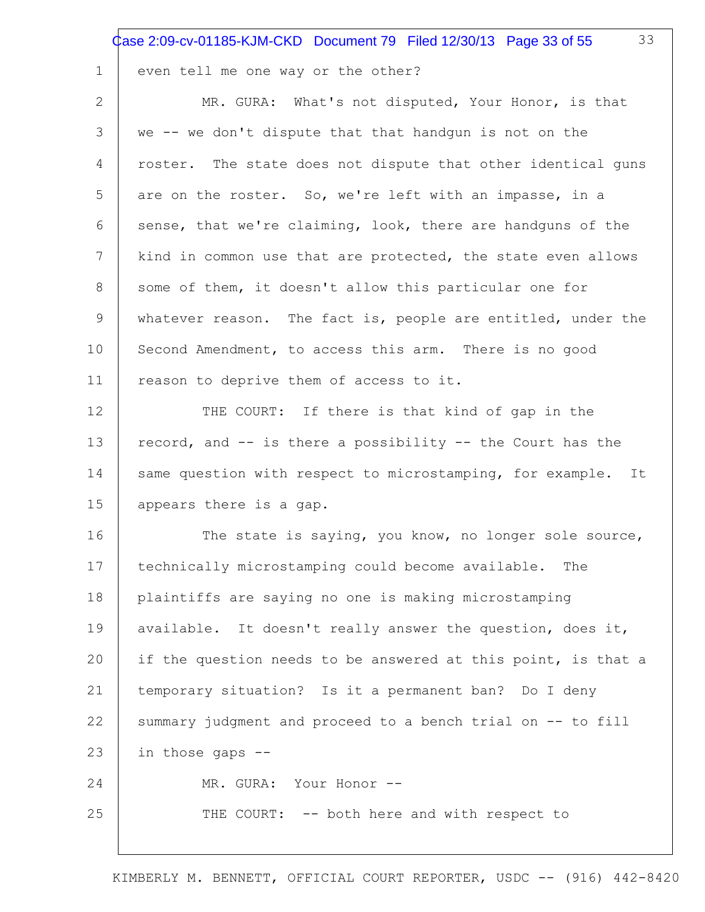33

1

| $\overline{2}$ | MR. GURA: What's not disputed, Your Honor, is that              |
|----------------|-----------------------------------------------------------------|
| 3              | we -- we don't dispute that that handgun is not on the          |
| 4              | roster. The state does not dispute that other identical guns    |
| 5              | are on the roster. So, we're left with an impasse, in a         |
| 6              | sense, that we're claiming, look, there are handguns of the     |
| 7              | kind in common use that are protected, the state even allows    |
| 8              | some of them, it doesn't allow this particular one for          |
| 9              | whatever reason. The fact is, people are entitled, under the    |
| 10             | Second Amendment, to access this arm. There is no good          |
| 11             | reason to deprive them of access to it.                         |
| 12             | THE COURT: If there is that kind of gap in the                  |
| 13             | record, and -- is there a possibility -- the Court has the      |
| 14             | same question with respect to microstamping, for example.<br>It |
| 15             | appears there is a gap.                                         |
| 16             | The state is saying, you know, no longer sole source,           |
| 17             | technically microstamping could become available.<br>The        |
| 18             | plaintiffs are saying no one is making microstamping            |
| 19             | available. It doesn't really answer the question, does it,      |
| 20             | if the question needs to be answered at this point, is that a   |
| 21             | temporary situation? Is it a permanent ban? Do I deny           |
| 22             | summary judgment and proceed to a bench trial on -- to fill     |
| 23             | in those gaps --                                                |
| 24             | MR. GURA: Your Honor --                                         |
| 25             | THE COURT: -- both here and with respect to                     |
|                |                                                                 |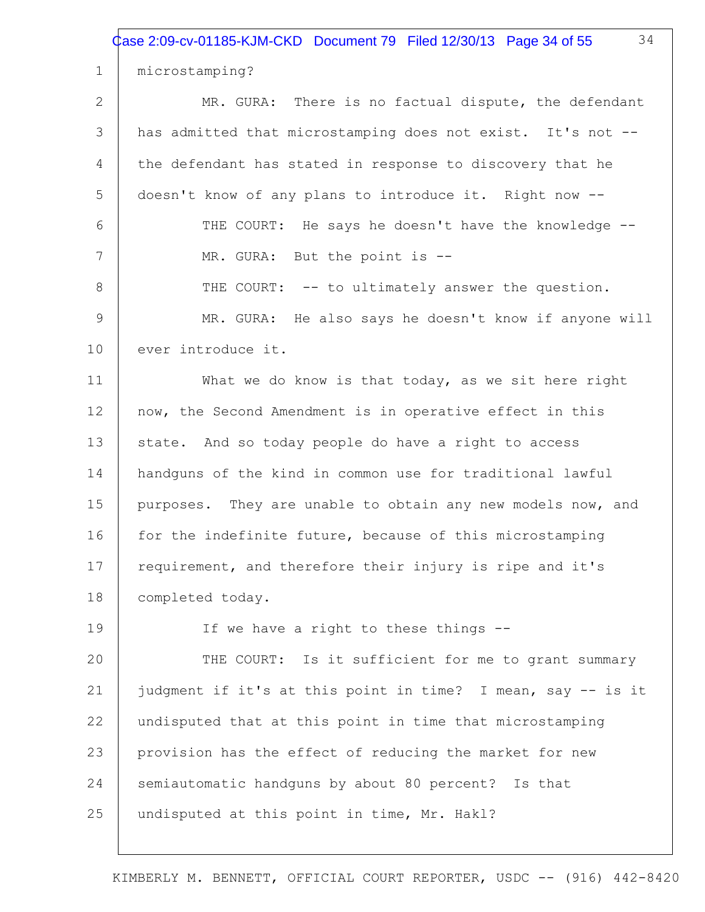Case 2:09-cv-01185-KJM-CKD Document 79 Filed 12/30/13 Page 34 of 55

microstamping?

1

2 3 4 5 6 7 8 9 10 11 12 13 14 15 16 17 18 19 20 21 22 23 24 25 MR. GURA: There is no factual dispute, the defendant has admitted that microstamping does not exist. It's not -the defendant has stated in response to discovery that he doesn't know of any plans to introduce it. Right now -- THE COURT: He says he doesn't have the knowledge -- MR. GURA: But the point is -- THE COURT: -- to ultimately answer the question. MR. GURA: He also says he doesn't know if anyone will ever introduce it. What we do know is that today, as we sit here right now, the Second Amendment is in operative effect in this state. And so today people do have a right to access handguns of the kind in common use for traditional lawful purposes. They are unable to obtain any new models now, and for the indefinite future, because of this microstamping requirement, and therefore their injury is ripe and it's completed today. If we have a right to these things -- THE COURT: Is it sufficient for me to grant summary judgment if it's at this point in time? I mean, say -- is it undisputed that at this point in time that microstamping provision has the effect of reducing the market for new semiautomatic handguns by about 80 percent? Is that undisputed at this point in time, Mr. Hakl?

KIMBERLY M. BENNETT, OFFICIAL COURT REPORTER, USDC -- (916) 442-8420

34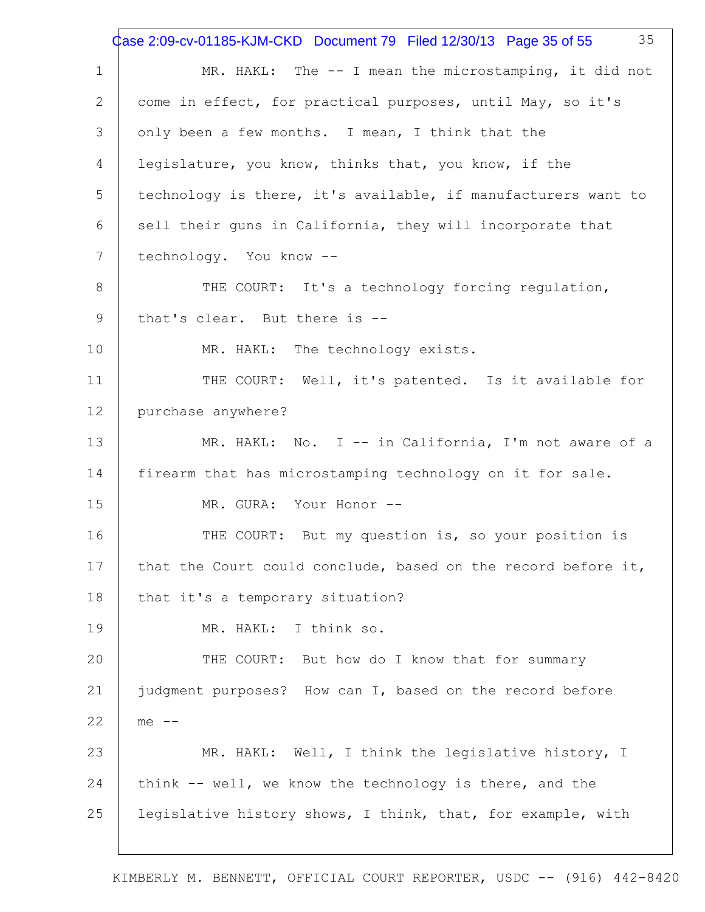1 2 3 4 5 6 7 8 9 10 11 12 13 14 15 16 17 18 19 20 21 22 23 24 25 35 MR. HAKL: The -- I mean the microstamping, it did not come in effect, for practical purposes, until May, so it's only been a few months. I mean, I think that the legislature, you know, thinks that, you know, if the technology is there, it's available, if manufacturers want to sell their guns in California, they will incorporate that technology. You know -- THE COURT: It's a technology forcing regulation, that's clear. But there is -- MR. HAKL: The technology exists. THE COURT: Well, it's patented. Is it available for purchase anywhere? MR. HAKL: No. I -- in California, I'm not aware of a firearm that has microstamping technology on it for sale. MR. GURA: Your Honor --THE COURT: But my question is, so your position is that the Court could conclude, based on the record before it, that it's a temporary situation? MR. HAKL: I think so. THE COURT: But how do I know that for summary judgment purposes? How can I, based on the record before  $me$   $-$ MR. HAKL: Well, I think the legislative history, I think -- well, we know the technology is there, and the legislative history shows, I think, that, for example, with Case 2:09-cv-01185-KJM-CKD Document 79 Filed 12/30/13 Page 35 of 55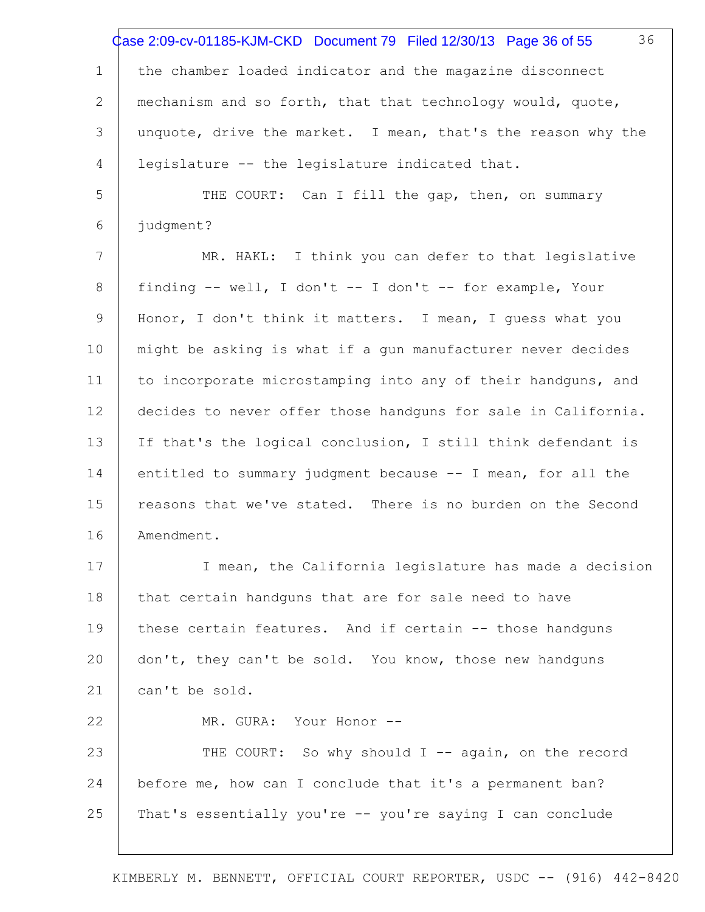1 2 3 4 5 6 7 8 9 10 11 12 13 14 15 16 17 18 19 20 21 22 23 24 25 36 the chamber loaded indicator and the magazine disconnect mechanism and so forth, that that technology would, quote, unquote, drive the market. I mean, that's the reason why the legislature -- the legislature indicated that. THE COURT: Can I fill the gap, then, on summary judgment? MR. HAKL: I think you can defer to that legislative finding -- well, I don't -- I don't -- for example, Your Honor, I don't think it matters. I mean, I guess what you might be asking is what if a gun manufacturer never decides to incorporate microstamping into any of their handguns, and decides to never offer those handguns for sale in California. If that's the logical conclusion, I still think defendant is entitled to summary judgment because -- I mean, for all the reasons that we've stated. There is no burden on the Second Amendment. I mean, the California legislature has made a decision that certain handguns that are for sale need to have these certain features. And if certain -- those handguns don't, they can't be sold. You know, those new handguns can't be sold. MR. GURA: Your Honor --THE COURT: So why should I -- again, on the record before me, how can I conclude that it's a permanent ban? That's essentially you're -- you're saying I can conclude Case 2:09-cv-01185-KJM-CKD Document 79 Filed 12/30/13 Page 36 of 55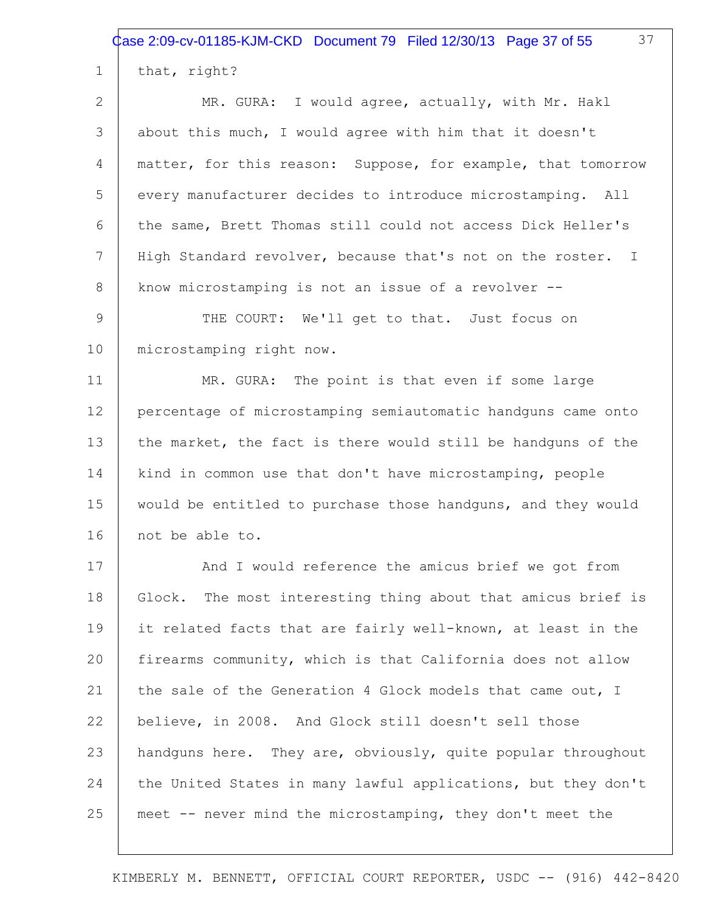Case 2:09-cv-01185-KJM-CKD Document 79 Filed 12/30/13 Page 37 of 55

37

| $\mathbf 1$    | that, right?                                                  |
|----------------|---------------------------------------------------------------|
| $\overline{2}$ | MR. GURA: I would agree, actually, with Mr. Hakl              |
| 3              | about this much, I would agree with him that it doesn't       |
| 4              | matter, for this reason: Suppose, for example, that tomorrow  |
| 5              | every manufacturer decides to introduce microstamping. All    |
| 6              | the same, Brett Thomas still could not access Dick Heller's   |
| 7              | High Standard revolver, because that's not on the roster. I   |
| 8              | know microstamping is not an issue of a revolver --           |
| 9              | THE COURT: We'll get to that. Just focus on                   |
| 10             | microstamping right now.                                      |
| 11             | MR. GURA: The point is that even if some large                |
| 12             | percentage of microstamping semiautomatic handguns came onto  |
| 13             | the market, the fact is there would still be handguns of the  |
| 14             | kind in common use that don't have microstamping, people      |
| 15             | would be entitled to purchase those handguns, and they would  |
| 16             | not be able to.                                               |
| 17             | And I would reference the amicus brief we got from            |
| 18             | Glock. The most interesting thing about that amicus brief is  |
| 19             | it related facts that are fairly well-known, at least in the  |
| 20             | firearms community, which is that California does not allow   |
| 21             | the sale of the Generation 4 Glock models that came out, I    |
| 22             | believe, in 2008. And Glock still doesn't sell those          |
| 23             | handquns here. They are, obviously, quite popular throughout  |
| 24             | the United States in many lawful applications, but they don't |
| 25             | meet -- never mind the microstamping, they don't meet the     |
|                |                                                               |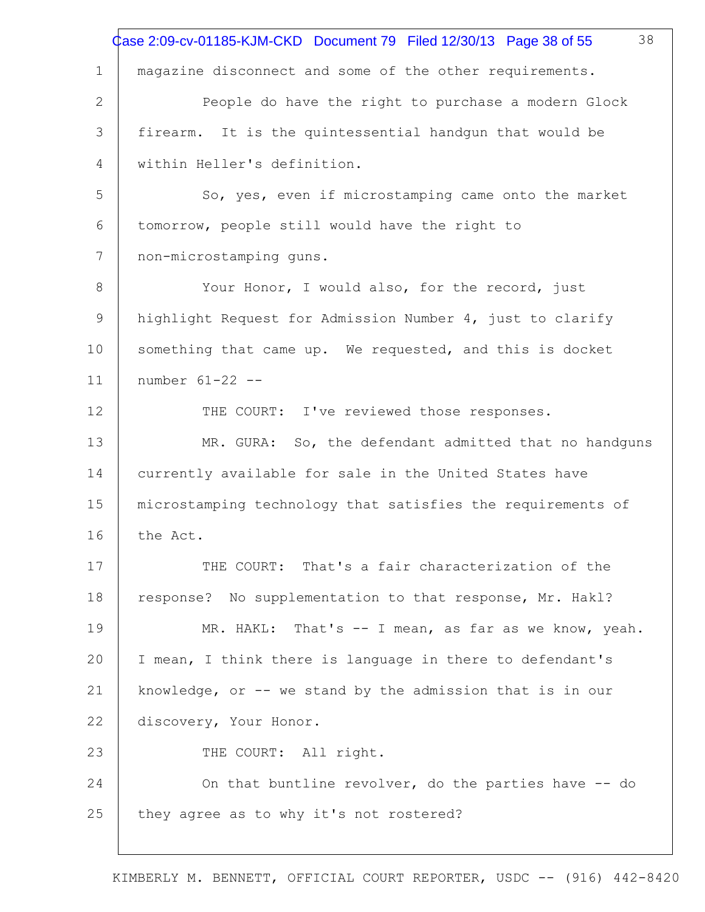|              | 38<br>Case 2:09-cv-01185-KJM-CKD Document 79 Filed 12/30/13 Page 38 of 55 |
|--------------|---------------------------------------------------------------------------|
|              |                                                                           |
| $\mathbf 1$  | magazine disconnect and some of the other requirements.                   |
| $\mathbf{2}$ | People do have the right to purchase a modern Glock                       |
| 3            | firearm. It is the quintessential handgun that would be                   |
| 4            | within Heller's definition.                                               |
| 5            | So, yes, even if microstamping came onto the market                       |
| 6            | tomorrow, people still would have the right to                            |
| 7            | non-microstamping guns.                                                   |
| 8            | Your Honor, I would also, for the record, just                            |
| 9            | highlight Request for Admission Number 4, just to clarify                 |
| 10           | something that came up. We requested, and this is docket                  |
| 11           | number 61-22 --                                                           |
| 12           | THE COURT: I've reviewed those responses.                                 |
| 13           | MR. GURA: So, the defendant admitted that no handguns                     |
| 14           | currently available for sale in the United States have                    |
| 15           | microstamping technology that satisfies the requirements of               |
| 16           | the Act.                                                                  |
| 17           | THE COURT: That's a fair characterization of the                          |
| 18           | response? No supplementation to that response, Mr. Hakl?                  |
| 19           | MR. HAKL: That's -- I mean, as far as we know, yeah.                      |
| 20           | I mean, I think there is language in there to defendant's                 |
| 21           | knowledge, or $-$ - we stand by the admission that is in our              |
| 22           | discovery, Your Honor.                                                    |
| 23           | THE COURT: All right.                                                     |
| 24           | On that buntline revolver, do the parties have -- do                      |
| 25           | they agree as to why it's not rostered?                                   |
|              |                                                                           |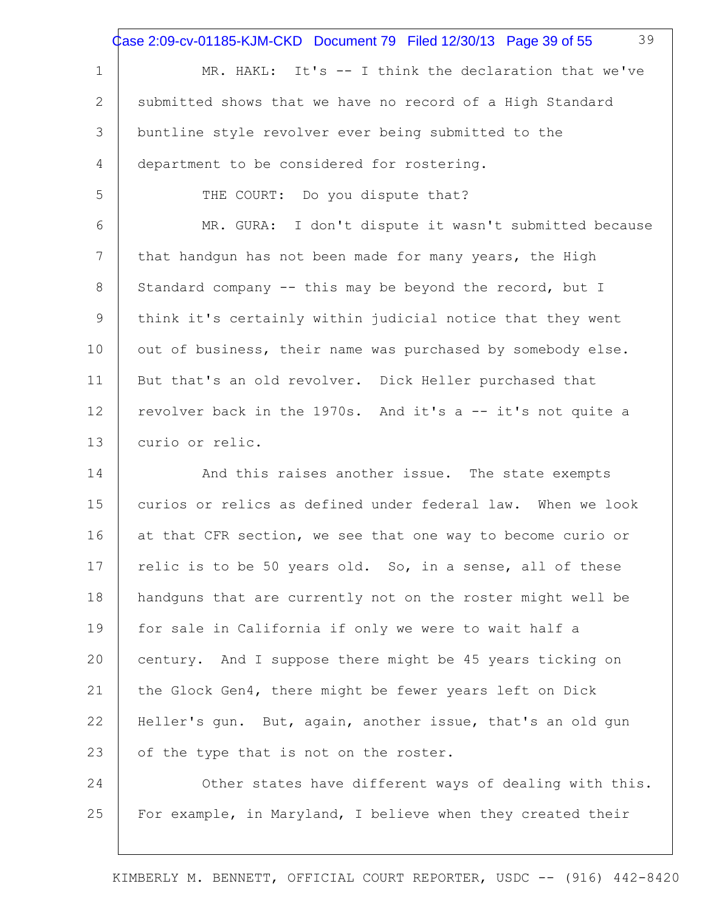|             | 39<br>Case 2:09-cv-01185-KJM-CKD Document 79 Filed 12/30/13 Page 39 of 55 |
|-------------|---------------------------------------------------------------------------|
| $\mathbf 1$ | MR. HAKL: It's -- I think the declaration that we've                      |
| 2           | submitted shows that we have no record of a High Standard                 |
| 3           | buntline style revolver ever being submitted to the                       |
| 4           | department to be considered for rostering.                                |
| 5           | THE COURT: Do you dispute that?                                           |
| 6           | MR. GURA: I don't dispute it wasn't submitted because                     |
| 7           | that handgun has not been made for many years, the High                   |
| 8           | Standard company -- this may be beyond the record, but I                  |
| 9           | think it's certainly within judicial notice that they went                |
| 10          | out of business, their name was purchased by somebody else.               |
| 11          | But that's an old revolver. Dick Heller purchased that                    |
| 12          | revolver back in the 1970s. And it's a -- it's not quite a                |
| 13          | curio or relic.                                                           |
| 14          | And this raises another issue. The state exempts                          |
| 15          | curios or relics as defined under federal law. When we look               |
| 16          | at that CFR section, we see that one way to become curio or               |
| 17          | relic is to be 50 years old. So, in a sense, all of these                 |
| 18          | handguns that are currently not on the roster might well be               |
| 19          | for sale in California if only we were to wait half a                     |
| 20          | century. And I suppose there might be 45 years ticking on                 |
| 21          | the Glock Gen4, there might be fewer years left on Dick                   |
| 22          | Heller's qun. But, again, another issue, that's an old gun                |
| 23          | of the type that is not on the roster.                                    |
| 24          | Other states have different ways of dealing with this.                    |
| 25          | For example, in Maryland, I believe when they created their               |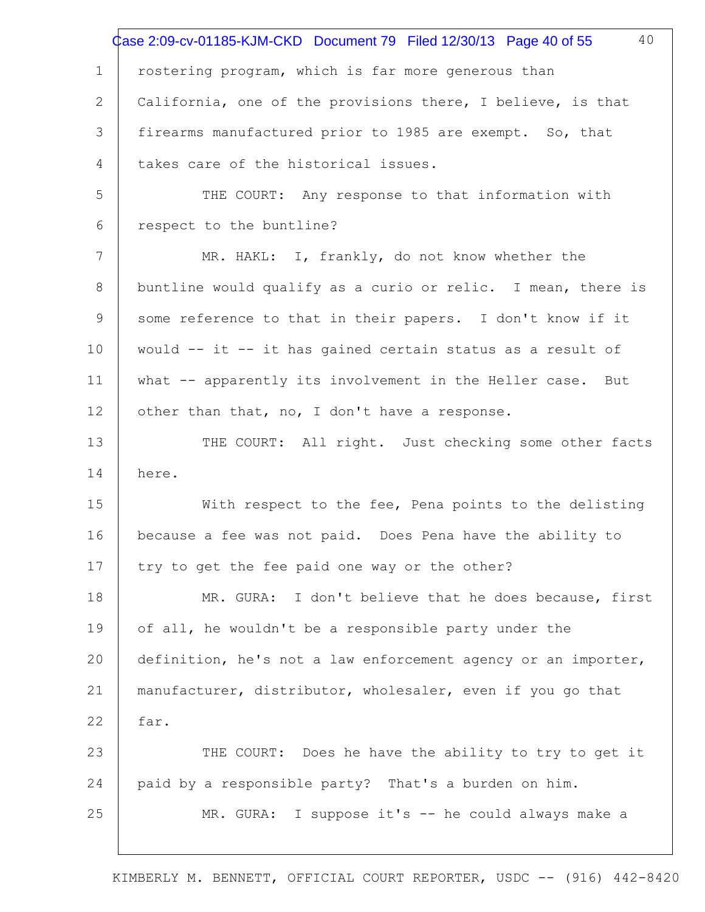|             | 40<br>Case 2:09-cv-01185-KJM-CKD Document 79 Filed 12/30/13 Page 40 of 55 |
|-------------|---------------------------------------------------------------------------|
| $\mathbf 1$ | rostering program, which is far more generous than                        |
| 2           | California, one of the provisions there, I believe, is that               |
| 3           | firearms manufactured prior to 1985 are exempt. So, that                  |
| 4           | takes care of the historical issues.                                      |
| 5           | THE COURT: Any response to that information with                          |
| 6           | respect to the buntline?                                                  |
| 7           | MR. HAKL: I, frankly, do not know whether the                             |
| 8           | buntline would qualify as a curio or relic. I mean, there is              |
| 9           | some reference to that in their papers. I don't know if it                |
| 10          | would -- it -- it has gained certain status as a result of                |
| 11          | what -- apparently its involvement in the Heller case. But                |
| 12          | other than that, no, I don't have a response.                             |
| 13          | THE COURT: All right. Just checking some other facts                      |
| 14          | here.                                                                     |
| 15          | With respect to the fee, Pena points to the delisting                     |
| 16          | because a fee was not paid. Does Pena have the ability to                 |
| 17          | try to get the fee paid one way or the other?                             |
| 18          | MR. GURA: I don't believe that he does because, first                     |
| 19          | of all, he wouldn't be a responsible party under the                      |
| 20          | definition, he's not a law enforcement agency or an importer,             |
| 21          | manufacturer, distributor, wholesaler, even if you go that                |
| 22          | far.                                                                      |
| 23          | THE COURT: Does he have the ability to try to get it                      |
| 24          | paid by a responsible party? That's a burden on him.                      |
| 25          | MR. GURA: I suppose it's -- he could always make a                        |
|             |                                                                           |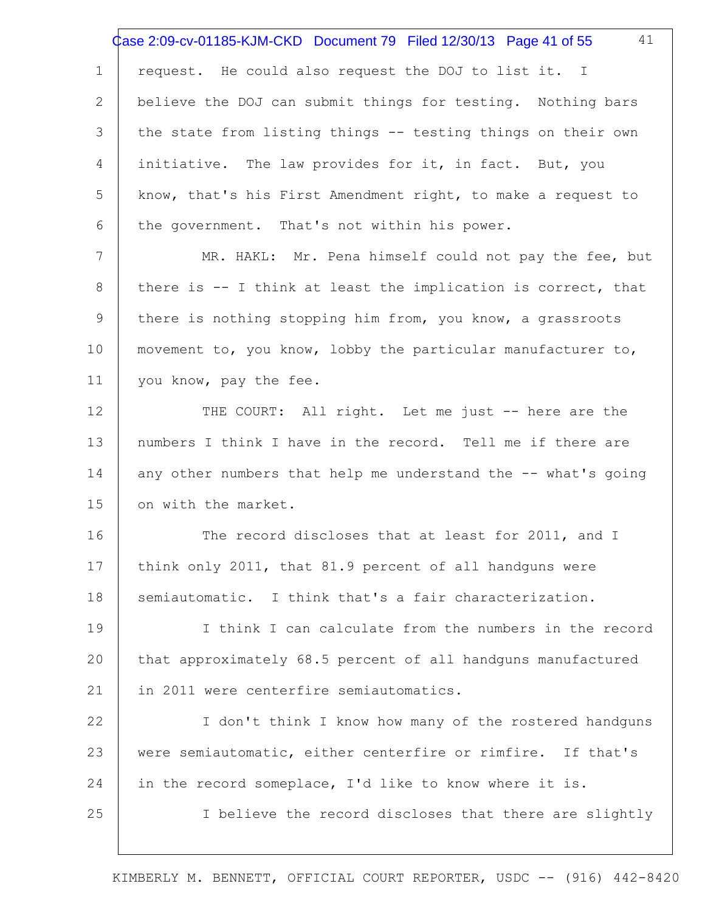1 2 3 4 5 6 7 8 9 10 11 12 13 14 15 16 17 18 19 20 21 22 23 24 25 41 request. He could also request the DOJ to list it. I believe the DOJ can submit things for testing. Nothing bars the state from listing things -- testing things on their own initiative. The law provides for it, in fact. But, you know, that's his First Amendment right, to make a request to the government. That's not within his power. MR. HAKL: Mr. Pena himself could not pay the fee, but there is -- I think at least the implication is correct, that there is nothing stopping him from, you know, a grassroots movement to, you know, lobby the particular manufacturer to, you know, pay the fee. THE COURT: All right. Let me just -- here are the numbers I think I have in the record. Tell me if there are any other numbers that help me understand the -- what's going on with the market. The record discloses that at least for 2011, and I think only 2011, that 81.9 percent of all handguns were semiautomatic. I think that's a fair characterization. I think I can calculate from the numbers in the record that approximately 68.5 percent of all handguns manufactured in 2011 were centerfire semiautomatics. I don't think I know how many of the rostered handguns were semiautomatic, either centerfire or rimfire. If that's in the record someplace, I'd like to know where it is. I believe the record discloses that there are slightly Case 2:09-cv-01185-KJM-CKD Document 79 Filed 12/30/13 Page 41 of 55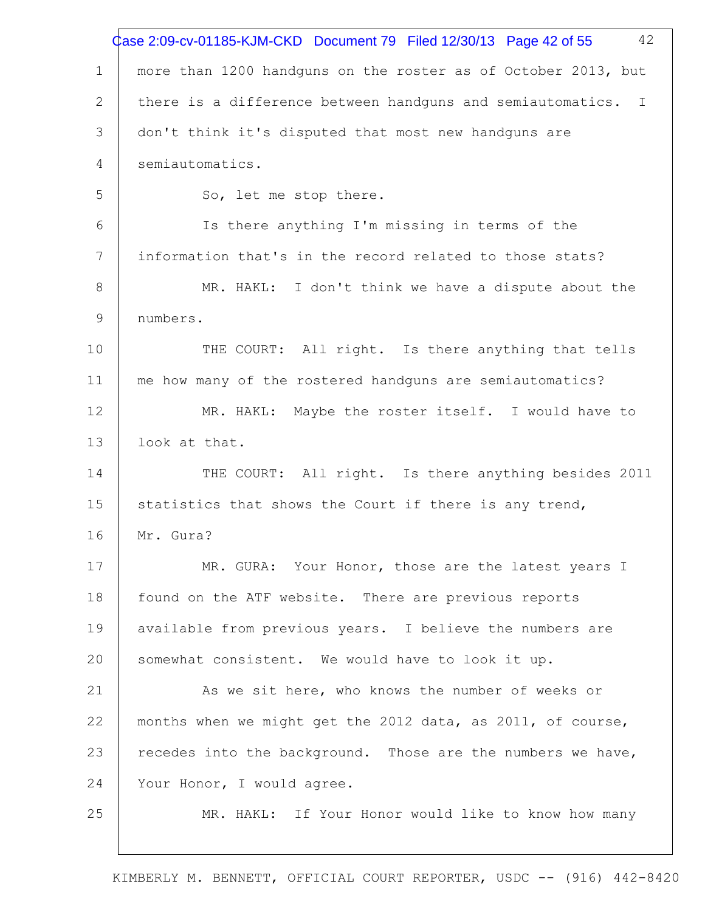|                | 42<br>Case 2:09-cv-01185-KJM-CKD Document 79 Filed 12/30/13 Page 42 of 55 |
|----------------|---------------------------------------------------------------------------|
| $\mathbf{1}$   | more than 1200 handguns on the roster as of October 2013, but             |
| 2              | there is a difference between handquns and semiautomatics. I              |
| 3              | don't think it's disputed that most new handguns are                      |
| $\overline{4}$ | semiautomatics.                                                           |
| 5              | So, let me stop there.                                                    |
| 6              | Is there anything I'm missing in terms of the                             |
| 7              | information that's in the record related to those stats?                  |
| 8              | MR. HAKL: I don't think we have a dispute about the                       |
| $\mathsf 9$    | numbers.                                                                  |
| 10             | THE COURT: All right. Is there anything that tells                        |
| 11             | me how many of the rostered handguns are semiautomatics?                  |
| 12             | MR. HAKL: Maybe the roster itself. I would have to                        |
| 13             | look at that.                                                             |
| 14             | THE COURT: All right. Is there anything besides 2011                      |
| 15             | statistics that shows the Court if there is any trend,                    |
| 16             | Mr. Gura?                                                                 |
| 17             | MR. GURA: Your Honor, those are the latest years I                        |
| 18             | found on the ATF website. There are previous reports                      |
| 19             | available from previous years. I believe the numbers are                  |
| 20             | somewhat consistent. We would have to look it up.                         |
| 21             | As we sit here, who knows the number of weeks or                          |
| 22             | months when we might get the 2012 data, as 2011, of course,               |
| 23             | recedes into the background. Those are the numbers we have,               |
| 24             | Your Honor, I would agree.                                                |
| 25             | MR. HAKL: If Your Honor would like to know how many                       |
|                |                                                                           |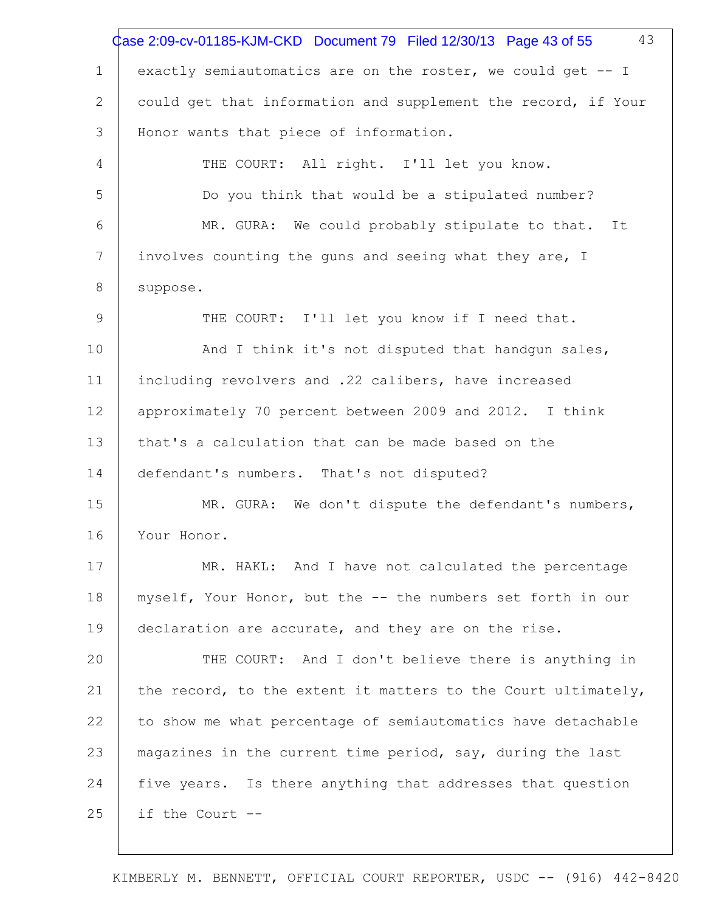|              | 43<br>Case 2:09-cv-01185-KJM-CKD Document 79 Filed 12/30/13 Page 43 of 55 |
|--------------|---------------------------------------------------------------------------|
| 1            | exactly semiautomatics are on the roster, we could get -- I               |
| $\mathbf{2}$ | could get that information and supplement the record, if Your             |
| 3            | Honor wants that piece of information.                                    |
| 4            | THE COURT: All right. I'll let you know.                                  |
| 5            | Do you think that would be a stipulated number?                           |
| 6            | MR. GURA: We could probably stipulate to that. It                         |
| 7            | involves counting the guns and seeing what they are, I                    |
| 8            | suppose.                                                                  |
| 9            | THE COURT: I'll let you know if I need that.                              |
| 10           | And I think it's not disputed that handgun sales,                         |
| 11           | including revolvers and .22 calibers, have increased                      |
| 12           | approximately 70 percent between 2009 and 2012. I think                   |
| 13           | that's a calculation that can be made based on the                        |
| 14           | defendant's numbers. That's not disputed?                                 |
| 15           | MR. GURA: We don't dispute the defendant's numbers,                       |
| 16           | Your Honor.                                                               |
| 17           | MR. HAKL: And I have not calculated the percentage                        |
| 18           | myself, Your Honor, but the -- the numbers set forth in our               |
| 19           | declaration are accurate, and they are on the rise.                       |
| 20           | THE COURT: And I don't believe there is anything in                       |
| 21           | the record, to the extent it matters to the Court ultimately,             |
| 22           | to show me what percentage of semiautomatics have detachable              |
| 23           | magazines in the current time period, say, during the last                |
| 24           | five years. Is there anything that addresses that question                |
| 25           | if the Court --                                                           |
|              |                                                                           |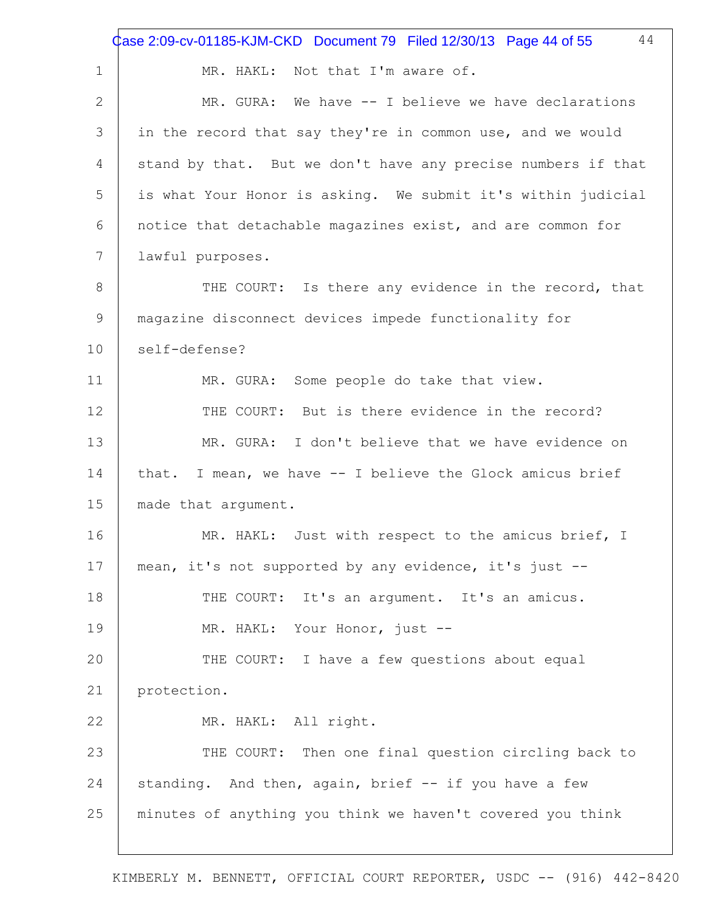1 2 3 4 5 6 7 8 9 10 11 12 13 14 15 16 17 18 19 20 21 22 23 24 25 44 MR. HAKL: Not that I'm aware of. MR. GURA: We have -- I believe we have declarations in the record that say they're in common use, and we would stand by that. But we don't have any precise numbers if that is what Your Honor is asking. We submit it's within judicial notice that detachable magazines exist, and are common for lawful purposes. THE COURT: Is there any evidence in the record, that magazine disconnect devices impede functionality for self-defense? MR. GURA: Some people do take that view. THE COURT: But is there evidence in the record? MR. GURA: I don't believe that we have evidence on that. I mean, we have -- I believe the Glock amicus brief made that argument. MR. HAKL: Just with respect to the amicus brief, I mean, it's not supported by any evidence, it's just -- THE COURT: It's an argument. It's an amicus. MR. HAKL: Your Honor, just -- THE COURT: I have a few questions about equal protection. MR. HAKL: All right. THE COURT: Then one final question circling back to standing. And then, again, brief -- if you have a few minutes of anything you think we haven't covered you think Case 2:09-cv-01185-KJM-CKD Document 79 Filed 12/30/13 Page 44 of 55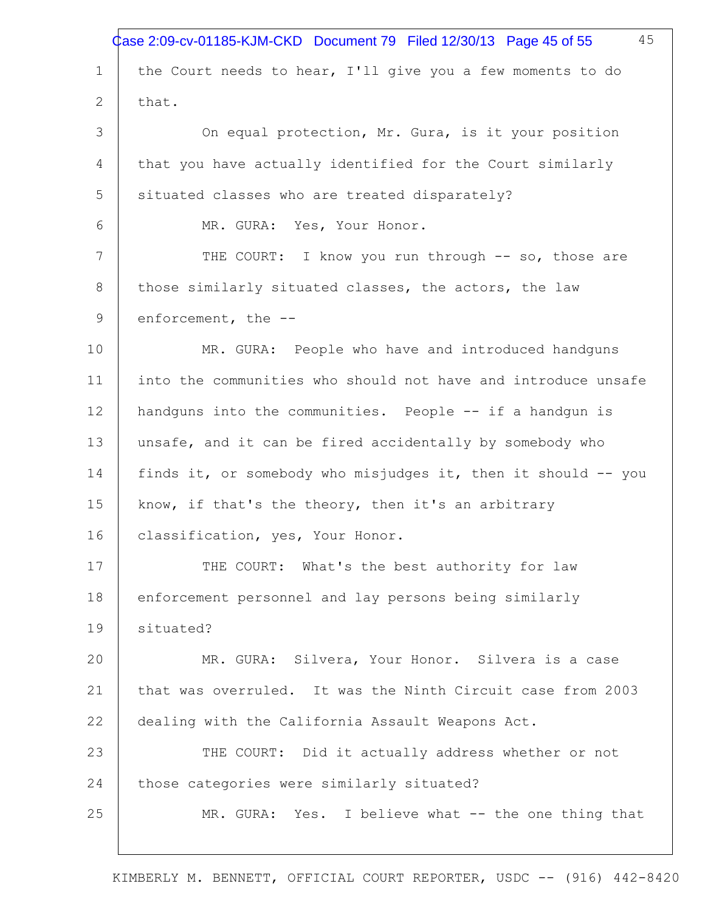|                | 45<br>Case 2:09-cv-01185-KJM-CKD Document 79 Filed 12/30/13 Page 45 of 55 |
|----------------|---------------------------------------------------------------------------|
| $\mathbf 1$    | the Court needs to hear, I'll give you a few moments to do                |
| $\overline{2}$ | that.                                                                     |
| 3              | On equal protection, Mr. Gura, is it your position                        |
| 4              | that you have actually identified for the Court similarly                 |
| 5              | situated classes who are treated disparately?                             |
| 6              | MR. GURA: Yes, Your Honor.                                                |
| 7              | THE COURT: I know you run through -- so, those are                        |
| 8              | those similarly situated classes, the actors, the law                     |
| $\mathsf 9$    | enforcement, the --                                                       |
| 10             | MR. GURA: People who have and introduced handguns                         |
| 11             | into the communities who should not have and introduce unsafe             |
| 12             | handguns into the communities. People -- if a handgun is                  |
| 13             | unsafe, and it can be fired accidentally by somebody who                  |
| 14             | finds it, or somebody who misjudges it, then it should -- you             |
| 15             | know, if that's the theory, then it's an arbitrary                        |
| 16             | classification, yes, Your Honor.                                          |
| 17             | THE COURT: What's the best authority for law                              |
| 18             | enforcement personnel and lay persons being similarly                     |
| 19             | situated?                                                                 |
| 20             | MR. GURA: Silvera, Your Honor. Silvera is a case                          |
| 21             | that was overruled. It was the Ninth Circuit case from 2003               |
| 22             | dealing with the California Assault Weapons Act.                          |
| 23             | THE COURT: Did it actually address whether or not                         |
| 24             | those categories were similarly situated?                                 |
| 25             | MR. GURA: Yes. I believe what -- the one thing that                       |
|                |                                                                           |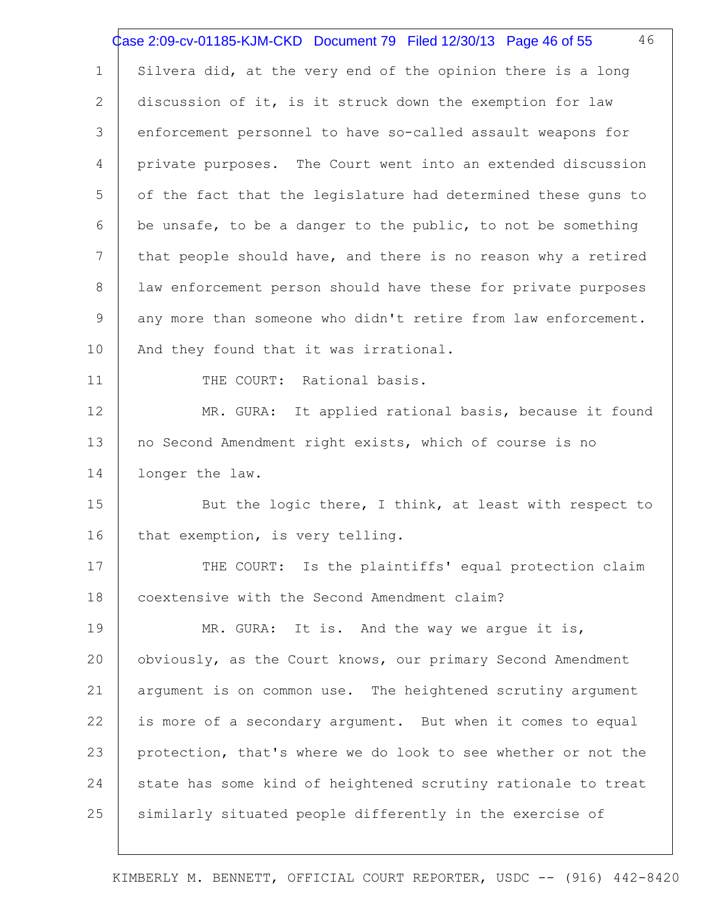|             | 46<br>Case 2:09-cv-01185-KJM-CKD Document 79 Filed 12/30/13 Page 46 of 55 |
|-------------|---------------------------------------------------------------------------|
| $\mathbf 1$ | Silvera did, at the very end of the opinion there is a long               |
| 2           | discussion of it, is it struck down the exemption for law                 |
| 3           | enforcement personnel to have so-called assault weapons for               |
| 4           | private purposes. The Court went into an extended discussion              |
| 5           | of the fact that the legislature had determined these guns to             |
| 6           | be unsafe, to be a danger to the public, to not be something              |
| 7           | that people should have, and there is no reason why a retired             |
| 8           | law enforcement person should have these for private purposes             |
| 9           | any more than someone who didn't retire from law enforcement.             |
| 10          | And they found that it was irrational.                                    |
| 11          | THE COURT: Rational basis.                                                |
| 12          | MR. GURA: It applied rational basis, because it found                     |
| 13          | no Second Amendment right exists, which of course is no                   |
| 14          | longer the law.                                                           |
| 15          | But the logic there, I think, at least with respect to                    |
| 16          | that exemption, is very telling.                                          |
| 17          | THE COURT: Is the plaintiffs' equal protection claim                      |
| 18          | coextensive with the Second Amendment claim?                              |
| 19          | MR. GURA: It is. And the way we arque it is,                              |
| 20          | obviously, as the Court knows, our primary Second Amendment               |
| 21          | argument is on common use. The heightened scrutiny argument               |
| 22          | is more of a secondary argument. But when it comes to equal               |
| 23          | protection, that's where we do look to see whether or not the             |
| 24          | state has some kind of heightened scrutiny rationale to treat             |
| 25          | similarly situated people differently in the exercise of                  |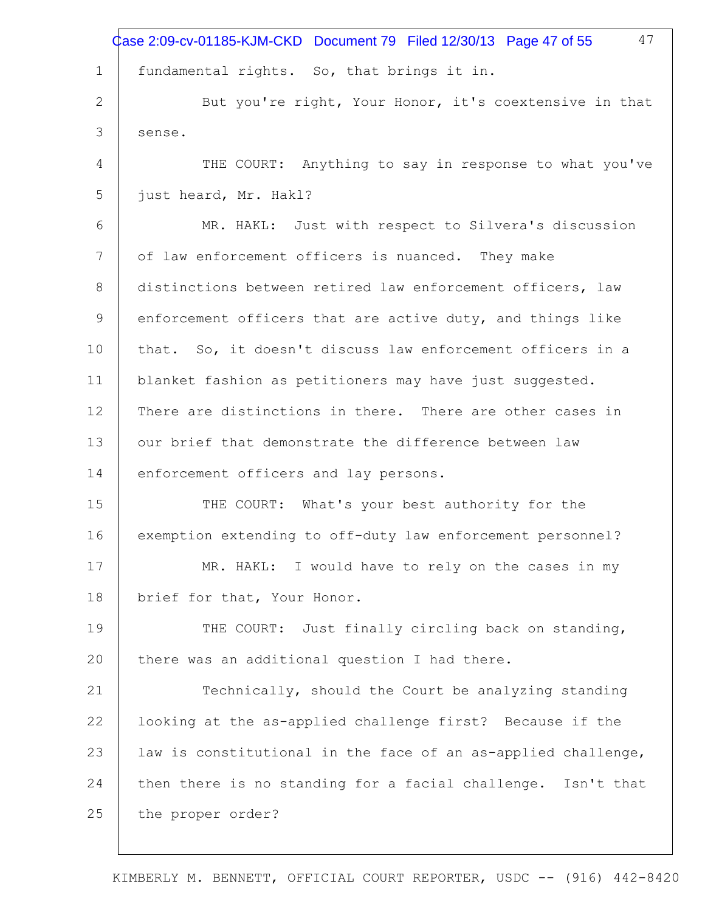|             | 47<br>Case 2:09-cv-01185-KJM-CKD Document 79 Filed 12/30/13 Page 47 of 55 |
|-------------|---------------------------------------------------------------------------|
| $\mathbf 1$ | fundamental rights. So, that brings it in.                                |
| 2           | But you're right, Your Honor, it's coextensive in that                    |
| 3           | sense.                                                                    |
| 4           | THE COURT: Anything to say in response to what you've                     |
| 5           | just heard, Mr. Hakl?                                                     |
| 6           | MR. HAKL: Just with respect to Silvera's discussion                       |
| 7           | of law enforcement officers is nuanced. They make                         |
| 8           | distinctions between retired law enforcement officers, law                |
| 9           | enforcement officers that are active duty, and things like                |
| 10          | that. So, it doesn't discuss law enforcement officers in a                |
| 11          | blanket fashion as petitioners may have just suggested.                   |
| 12          | There are distinctions in there. There are other cases in                 |
| 13          | our brief that demonstrate the difference between law                     |
| 14          | enforcement officers and lay persons.                                     |
| 15          | THE COURT: What's your best authority for the                             |
| 16          | exemption extending to off-duty law enforcement personnel?                |
| 17          | MR. HAKL: I would have to rely on the cases in my                         |
| 18          | brief for that, Your Honor.                                               |
| 19          | THE COURT: Just finally circling back on standing,                        |
| 20          | there was an additional question I had there.                             |
| 21          | Technically, should the Court be analyzing standing                       |
| 22          | looking at the as-applied challenge first? Because if the                 |
| 23          | law is constitutional in the face of an as-applied challenge,             |
| 24          | then there is no standing for a facial challenge. Isn't that              |
| 25          | the proper order?                                                         |
|             |                                                                           |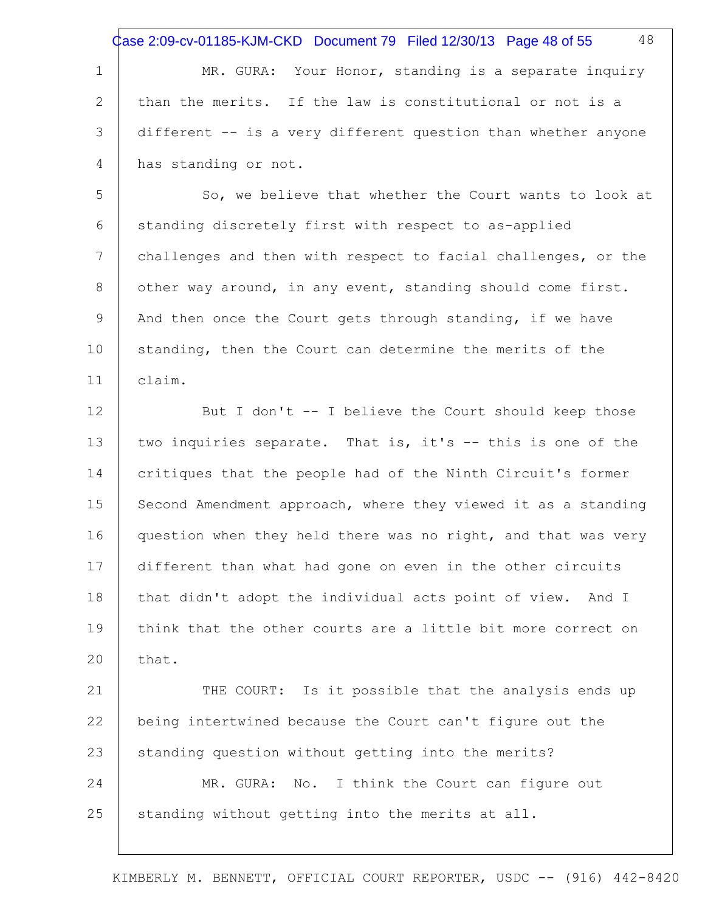Case 2:09-cv-01185-KJM-CKD Document 79 Filed 12/30/13 Page 48 of 55

1 2 3 4 MR. GURA: Your Honor, standing is a separate inquiry than the merits. If the law is constitutional or not is a different -- is a very different question than whether anyone has standing or not.

5 6 7 8 9 10 11 So, we believe that whether the Court wants to look at standing discretely first with respect to as-applied challenges and then with respect to facial challenges, or the other way around, in any event, standing should come first. And then once the Court gets through standing, if we have standing, then the Court can determine the merits of the claim.

12 13 14 15 16 17 18 19 20 But I don't -- I believe the Court should keep those two inquiries separate. That is, it's -- this is one of the critiques that the people had of the Ninth Circuit's former Second Amendment approach, where they viewed it as a standing question when they held there was no right, and that was very different than what had gone on even in the other circuits that didn't adopt the individual acts point of view. And I think that the other courts are a little bit more correct on that.

21 22 23 24 25 THE COURT: Is it possible that the analysis ends up being intertwined because the Court can't figure out the standing question without getting into the merits? MR. GURA: No. I think the Court can figure out standing without getting into the merits at all.

KIMBERLY M. BENNETT, OFFICIAL COURT REPORTER, USDC -- (916) 442-8420

48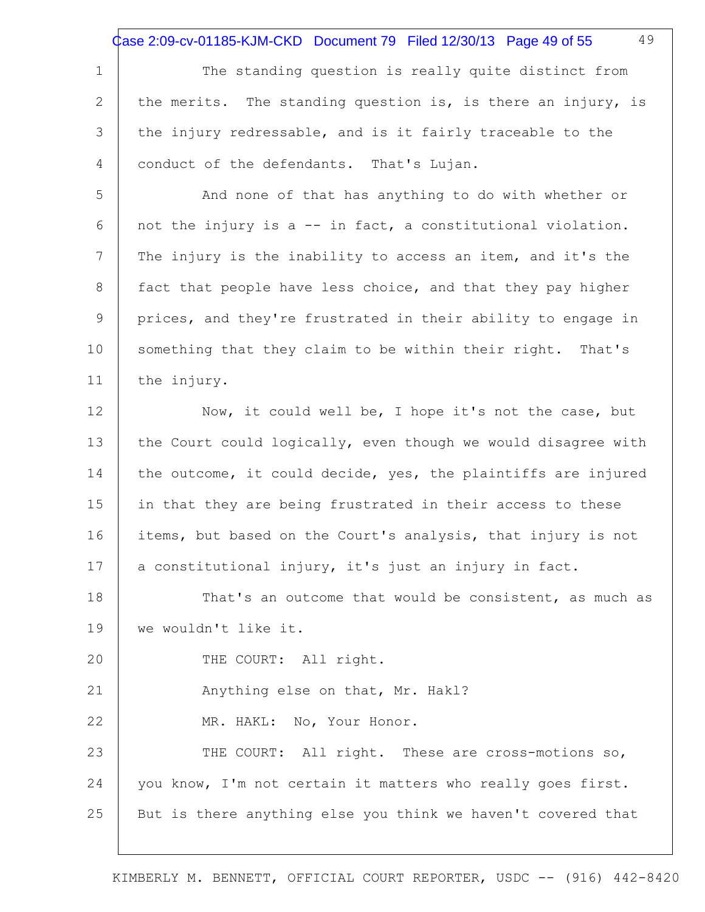Case 2:09-cv-01185-KJM-CKD Document 79 Filed 12/30/13 Page 49 of 55

49

1 2 3 4 The standing question is really quite distinct from the merits. The standing question is, is there an injury, is the injury redressable, and is it fairly traceable to the conduct of the defendants. That's Lujan.

5 6 7 8 9 10 11 And none of that has anything to do with whether or not the injury is a -- in fact, a constitutional violation. The injury is the inability to access an item, and it's the fact that people have less choice, and that they pay higher prices, and they're frustrated in their ability to engage in something that they claim to be within their right. That's the injury.

12 13 14 15 16 17 Now, it could well be, I hope it's not the case, but the Court could logically, even though we would disagree with the outcome, it could decide, yes, the plaintiffs are injured in that they are being frustrated in their access to these items, but based on the Court's analysis, that injury is not a constitutional injury, it's just an injury in fact.

18 19 That's an outcome that would be consistent, as much as we wouldn't like it.

20 THE COURT: All right.

22

21 Anything else on that, Mr. Hakl?

MR. HAKL: No, Your Honor.

23 24 25 THE COURT: All right. These are cross-motions so, you know, I'm not certain it matters who really goes first. But is there anything else you think we haven't covered that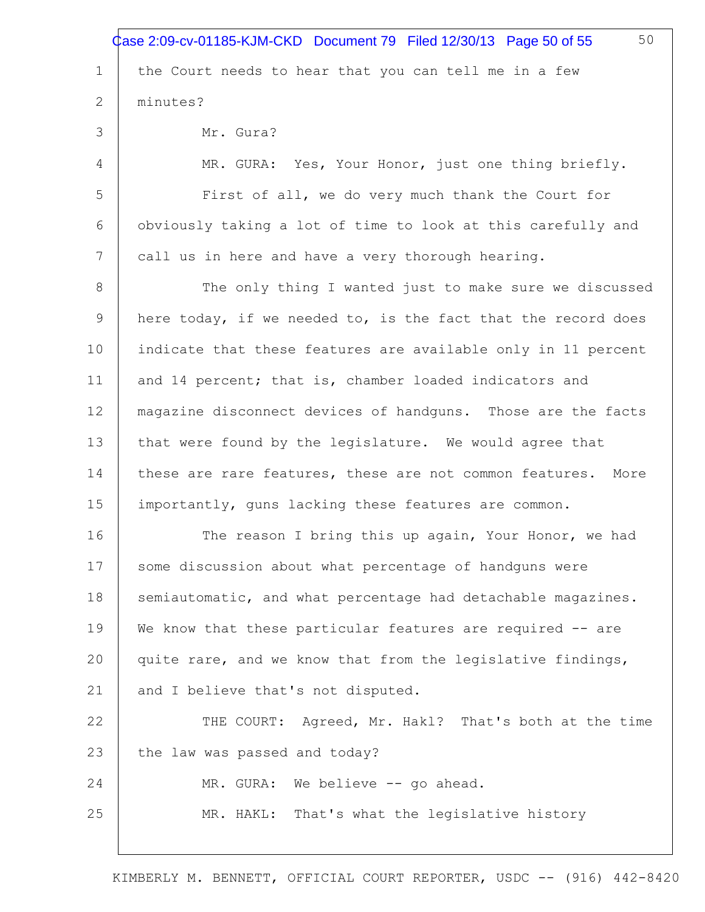|                 | 50<br>Case 2:09-cv-01185-KJM-CKD Document 79 Filed 12/30/13 Page 50 of 55 |
|-----------------|---------------------------------------------------------------------------|
| $\mathbf{1}$    | the Court needs to hear that you can tell me in a few                     |
| 2               | minutes?                                                                  |
| 3               | Mr. Gura?                                                                 |
| 4               | MR. GURA: Yes, Your Honor, just one thing briefly.                        |
| 5               | First of all, we do very much thank the Court for                         |
| 6               | obviously taking a lot of time to look at this carefully and              |
| $7\phantom{.0}$ | call us in here and have a very thorough hearing.                         |
| 8               | The only thing I wanted just to make sure we discussed                    |
| 9               | here today, if we needed to, is the fact that the record does             |
| 10              | indicate that these features are available only in 11 percent             |
| 11              | and 14 percent; that is, chamber loaded indicators and                    |
| 12              | magazine disconnect devices of handguns. Those are the facts              |
| 13              | that were found by the legislature. We would agree that                   |
| 14              | these are rare features, these are not common features.<br>More           |
| 15              | importantly, guns lacking these features are common.                      |
| 16              | The reason I bring this up again, Your Honor, we had                      |
| 17              | some discussion about what percentage of handguns were                    |
| 18              | semiautomatic, and what percentage had detachable magazines.              |
| 19              | We know that these particular features are required -- are                |
| 20              | quite rare, and we know that from the legislative findings,               |
| 21              | and I believe that's not disputed.                                        |
| 22              | THE COURT: Agreed, Mr. Hakl? That's both at the time                      |
| 23              | the law was passed and today?                                             |
| 24              | MR. GURA: We believe -- go ahead.                                         |
| 25              | MR. HAKL: That's what the legislative history                             |
|                 |                                                                           |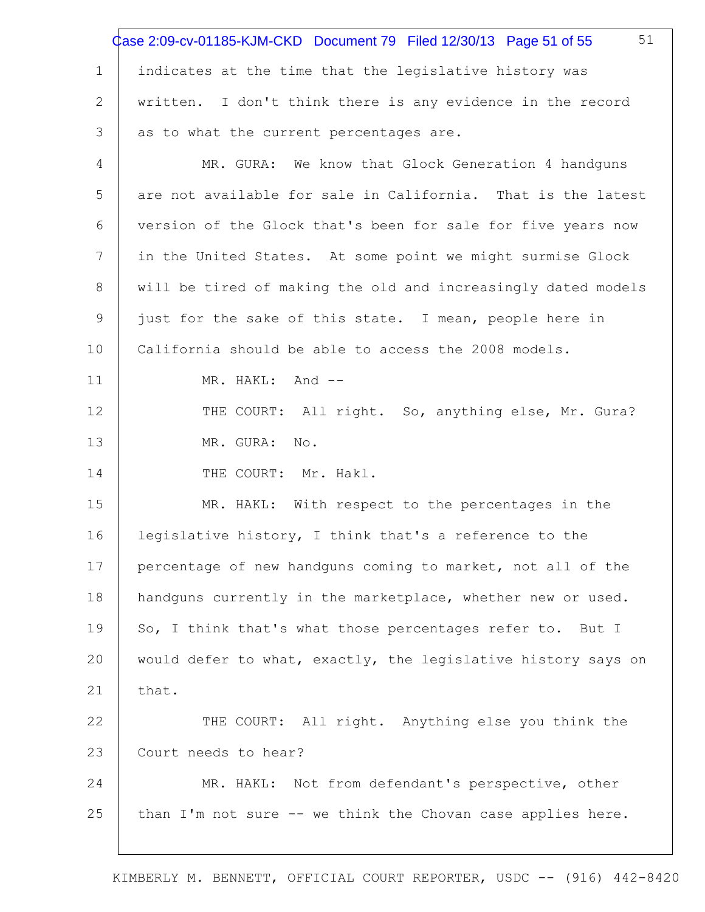|             | 51<br>Case 2:09-cv-01185-KJM-CKD Document 79 Filed 12/30/13 Page 51 of 55 |
|-------------|---------------------------------------------------------------------------|
| $\mathbf 1$ | indicates at the time that the legislative history was                    |
| 2           | written. I don't think there is any evidence in the record                |
| 3           | as to what the current percentages are.                                   |
| 4           | MR. GURA: We know that Glock Generation 4 handguns                        |
| 5           | are not available for sale in California. That is the latest              |
| 6           | version of the Glock that's been for sale for five years now              |
| 7           | in the United States. At some point we might surmise Glock                |
| 8           | will be tired of making the old and increasingly dated models             |
| 9           | just for the sake of this state. I mean, people here in                   |
| 10          | California should be able to access the 2008 models.                      |
| 11          | MR. HAKL: And --                                                          |
| 12          | THE COURT: All right. So, anything else, Mr. Gura?                        |
| 13          | MR. GURA:<br>No.                                                          |
| 14          | THE COURT: Mr. Hakl.                                                      |
| 15          | MR. HAKL: With respect to the percentages in the                          |
| 16          | legislative history, I think that's a reference to the                    |
| 17          | percentage of new handguns coming to market, not all of the               |
| 18          | handguns currently in the marketplace, whether new or used.               |
| 19          | So, I think that's what those percentages refer to. But I                 |
| 20          | would defer to what, exactly, the legislative history says on             |
| 21          | that.                                                                     |
| 22          | THE COURT: All right. Anything else you think the                         |
| 23          | Court needs to hear?                                                      |
| 24          | MR. HAKL: Not from defendant's perspective, other                         |
| 25          | than I'm not sure -- we think the Chovan case applies here.               |
|             |                                                                           |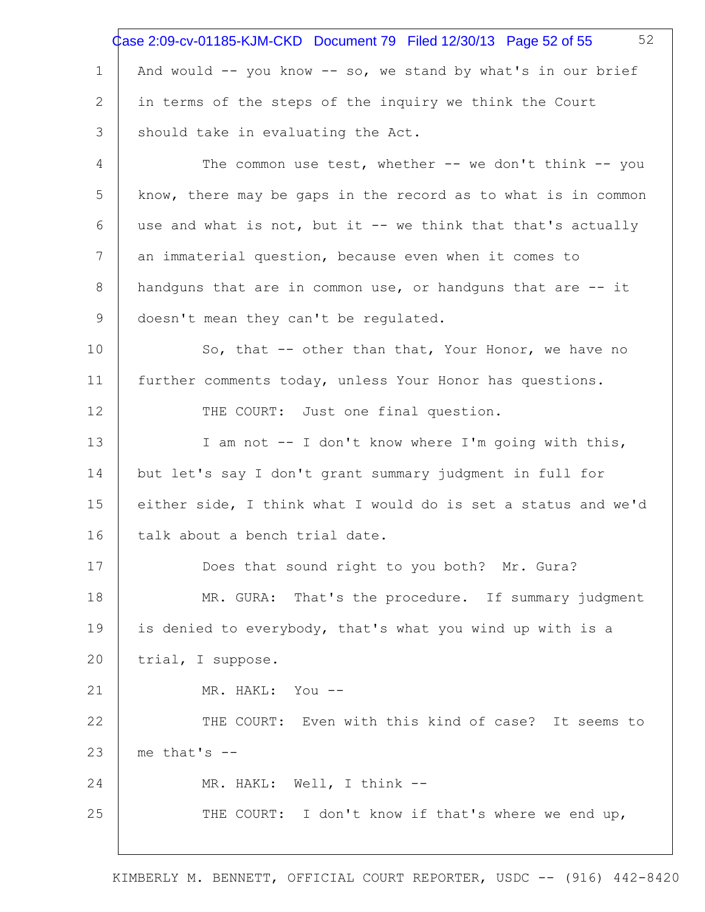|             | 52<br>Case 2:09-cv-01185-KJM-CKD Document 79 Filed 12/30/13 Page 52 of 55 |
|-------------|---------------------------------------------------------------------------|
| $\mathbf 1$ | And would -- you know -- so, we stand by what's in our brief              |
| 2           | in terms of the steps of the inquiry we think the Court                   |
| 3           | should take in evaluating the Act.                                        |
| 4           | The common use test, whether -- we don't think -- you                     |
| 5           | know, there may be gaps in the record as to what is in common             |
| 6           | use and what is not, but it -- we think that that's actually              |
| 7           | an immaterial question, because even when it comes to                     |
| 8           | handguns that are in common use, or handguns that are -- it               |
| 9           | doesn't mean they can't be regulated.                                     |
| 10          | So, that -- other than that, Your Honor, we have no                       |
| 11          | further comments today, unless Your Honor has questions.                  |
| 12          | THE COURT: Just one final question.                                       |
| 13          | I am not -- I don't know where I'm going with this,                       |
| 14          | but let's say I don't grant summary judgment in full for                  |
| 15          | either side, I think what I would do is set a status and we'd             |
| 16          | talk about a bench trial date.                                            |
| 17          | Does that sound right to you both? Mr. Gura?                              |
| 18          | MR. GURA: That's the procedure. If summary judgment                       |
| 19          | is denied to everybody, that's what you wind up with is a                 |
| 20          | trial, I suppose.                                                         |
| 21          | MR. HAKL: You --                                                          |
| 22          | THE COURT: Even with this kind of case? It seems to                       |
| 23          | me that's $--$                                                            |
| 24          | MR. HAKL: Well, I think --                                                |
| 25          | THE COURT: I don't know if that's where we end up,                        |
|             |                                                                           |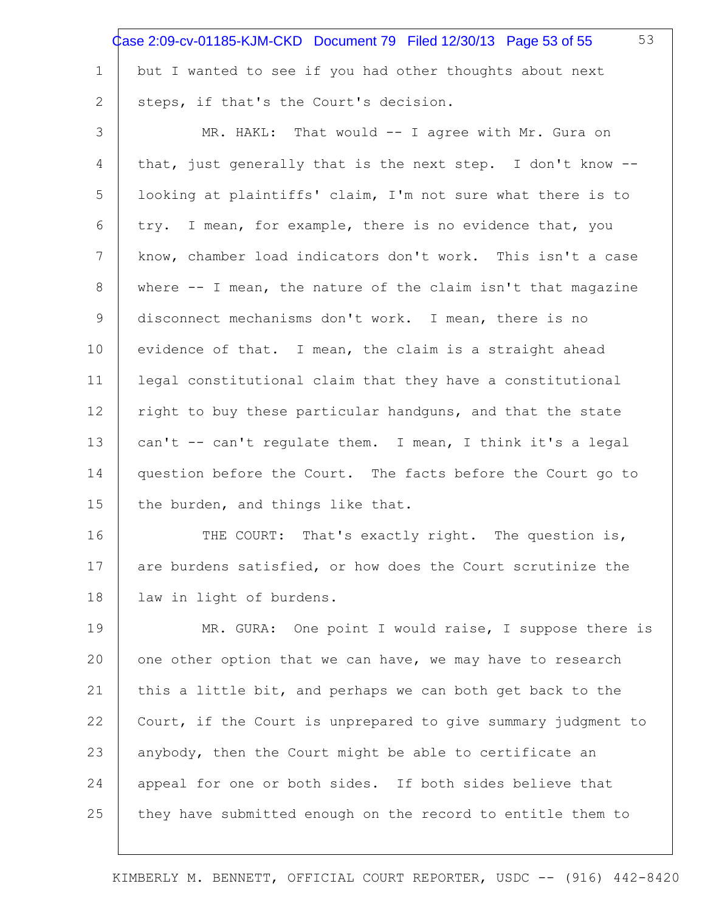|                 | 53<br>Case 2:09-cv-01185-KJM-CKD Document 79 Filed 12/30/13 Page 53 of 55 |
|-----------------|---------------------------------------------------------------------------|
| 1               | but I wanted to see if you had other thoughts about next                  |
| 2               | steps, if that's the Court's decision.                                    |
| 3               | MR. HAKL: That would -- I agree with Mr. Gura on                          |
| 4               | that, just generally that is the next step. I don't know --               |
| 5               | looking at plaintiffs' claim, I'm not sure what there is to               |
| 6               | try. I mean, for example, there is no evidence that, you                  |
| $7\phantom{.0}$ | know, chamber load indicators don't work. This isn't a case               |
| 8               | where $--$ I mean, the nature of the claim isn't that magazine            |
| 9               | disconnect mechanisms don't work. I mean, there is no                     |
| 10              | evidence of that. I mean, the claim is a straight ahead                   |
| 11              | legal constitutional claim that they have a constitutional                |
| 12              | right to buy these particular handguns, and that the state                |
| 13              | can't -- can't regulate them. I mean, I think it's a legal                |
| 14              | question before the Court. The facts before the Court go to               |
| 15              | the burden, and things like that.                                         |
| 16              | THE COURT: That's exactly right. The question is,                         |
| 17              | are burdens satisfied, or how does the Court scrutinize the               |
| 18              | law in light of burdens.                                                  |
| 19              | MR. GURA: One point I would raise, I suppose there is                     |
| 20              | one other option that we can have, we may have to research                |
| 21              | this a little bit, and perhaps we can both get back to the                |
| 22              | Court, if the Court is unprepared to give summary judgment to             |
| 23              | anybody, then the Court might be able to certificate an                   |
| 24              | appeal for one or both sides. If both sides believe that                  |
| 25              | they have submitted enough on the record to entitle them to               |
|                 |                                                                           |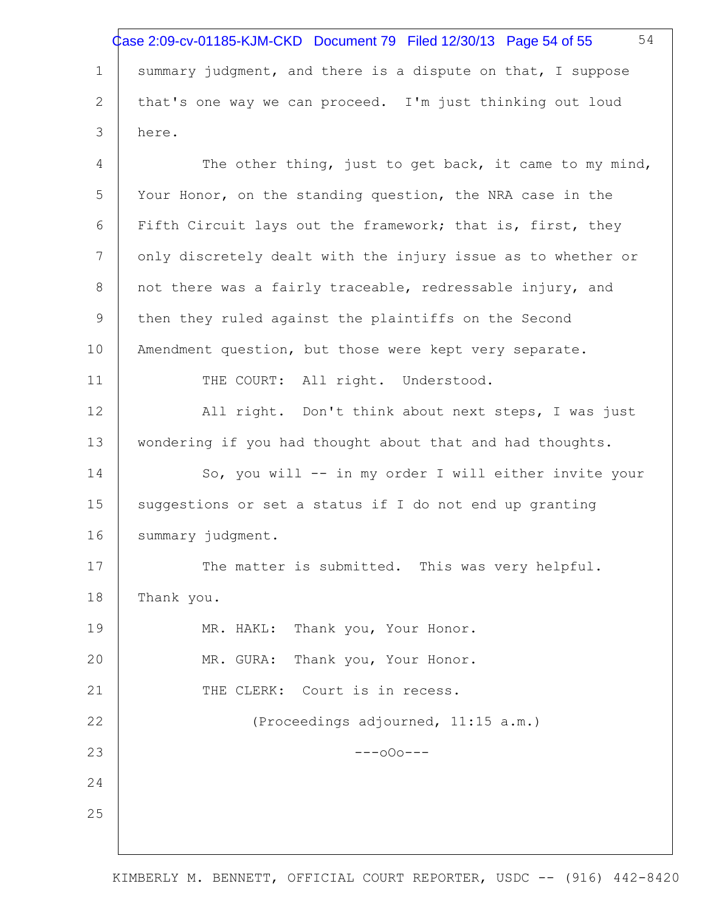1 2 3 4 5 6 7 8 9 10 11 12 13 14 15 16 17 18 19 20 21 22 23 24 25 54 summary judgment, and there is a dispute on that, I suppose that's one way we can proceed. I'm just thinking out loud here. The other thing, just to get back, it came to my mind, Your Honor, on the standing question, the NRA case in the Fifth Circuit lays out the framework; that is, first, they only discretely dealt with the injury issue as to whether or not there was a fairly traceable, redressable injury, and then they ruled against the plaintiffs on the Second Amendment question, but those were kept very separate. THE COURT: All right. Understood. All right. Don't think about next steps, I was just wondering if you had thought about that and had thoughts. So, you will -- in my order I will either invite your suggestions or set a status if I do not end up granting summary judgment. The matter is submitted. This was very helpful. Thank you. MR. HAKL: Thank you, Your Honor. MR. GURA: Thank you, Your Honor. THE CLERK: Court is in recess. (Proceedings adjourned, 11:15 a.m.)  $---000---$ Case 2:09-cv-01185-KJM-CKD Document 79 Filed 12/30/13 Page 54 of 55